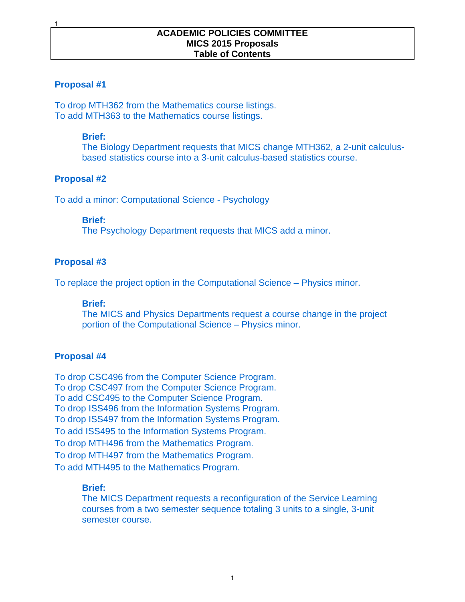#### **Proposal #1**

1

To drop MTH362 from the Mathematics course listings. To add MTH363 to the Mathematics course listings.

#### **Brief:**

The Biology Department requests that MICS change MTH362, a 2-unit calculusbased statistics course into a 3-unit calculus-based statistics course.

#### **Proposal #2**

To add a minor: Computational Science - Psychology

#### **Brief:**

The Psychology Department requests that MICS add a minor.

#### **Proposal #3**

To replace the project option in the Computational Science – Physics minor.

#### **Brief:**

The MICS and Physics Departments request a course change in the project portion of the Computational Science – Physics minor.

#### **Proposal #4**

To drop CSC496 from the Computer Science Program. To drop CSC497 from the Computer Science Program. To add CSC495 to the Computer Science Program. To drop ISS496 from the Information Systems Program. To drop ISS497 from the Information Systems Program. To add ISS495 to the Information Systems Program. To drop MTH496 from the Mathematics Program. To drop MTH497 from the Mathematics Program. To add MTH495 to the Mathematics Program.

#### **Brief:**

The MICS Department requests a reconfiguration of the Service Learning courses from a two semester sequence totaling 3 units to a single, 3-unit semester course.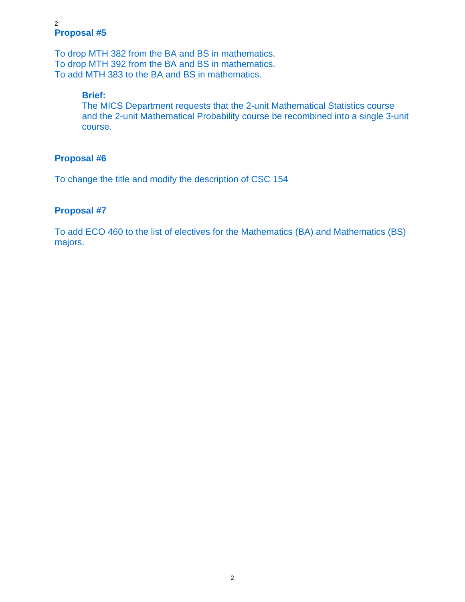#### **Proposal #5**  2

To drop MTH 382 from the BA and BS in mathematics. To drop MTH 392 from the BA and BS in mathematics. To add MTH 383 to the BA and BS in mathematics.

### **Brief:**

The MICS Department requests that the 2-unit Mathematical Statistics course and the 2-unit Mathematical Probability course be recombined into a single 3-unit course.

### **Proposal #6**

To change the title and modify the description of CSC 154

### **Proposal #7**

To add ECO 460 to the list of electives for the Mathematics (BA) and Mathematics (BS) majors.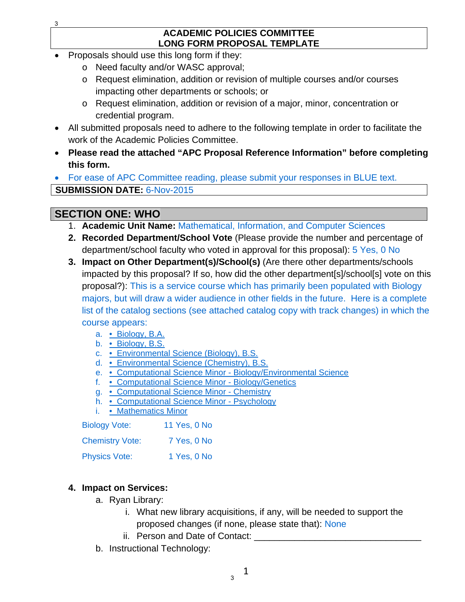#### **ACADEMIC POLICIES COMMITTEE LONG FORM PROPOSAL TEMPLATE**

- Proposals should use this long form if they:
	- o Need faculty and/or WASC approval;
	- o Request elimination, addition or revision of multiple courses and/or courses impacting other departments or schools; or
	- o Request elimination, addition or revision of a major, minor, concentration or credential program.
- All submitted proposals need to adhere to the following template in order to facilitate the work of the Academic Policies Committee.
- **Please read the attached "APC Proposal Reference Information" before completing this form.**

 For ease of APC Committee reading, please submit your responses in BLUE text. **SUBMISSION DATE:** 6-Nov-2015

## **SECTION ONE: WHO**

- 1. **Academic Unit Name:** Mathematical, Information, and Computer Sciences
- **2. Recorded Department/School Vote** (Please provide the number and percentage of department/school faculty who voted in approval for this proposal): 5 Yes, 0 No
- **3. Impact on Other Department(s)/School(s)** (Are there other departments/schools impacted by this proposal? If so, how did the other department[s]/school[s] vote on this proposal?): This is a service course which has primarily been populated with Biology majors, but will draw a wider audience in other fields in the future. Here is a complete list of the catalog sections (see attached catalog copy with track changes) in which the course appears:
	- a. Biology, B.A.
	- b. Biology, B.S.
	- c. Environmental Science (Biology), B.S.
	- d. Environmental Science (Chemistry), B.S.
	- e. Computational Science Minor Biology/Environmental Science
	- f. Computational Science Minor Biology/Genetics
	- g. Computational Science Minor Chemistry
	- h. Computational Science Minor Psychology
	- i. Mathematics Minor

| <b>Biology Vote:</b>   | 11 Yes, 0 No |
|------------------------|--------------|
| <b>Chemistry Vote:</b> | 7 Yes, 0 No  |
| <b>Physics Vote:</b>   | 1 Yes, 0 No  |

## **4. Impact on Services:**

- a. Ryan Library:
	- i. What new library acquisitions, if any, will be needed to support the proposed changes (if none, please state that): None
	- ii. Person and Date of Contact:
- b. Instructional Technology: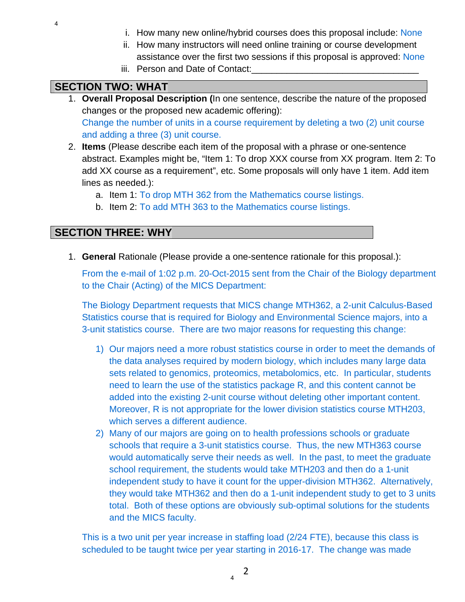- i. How many new online/hybrid courses does this proposal include: None
- ii. How many instructors will need online training or course development assistance over the first two sessions if this proposal is approved: None
- iii. Person and Date of Contact:

## **SECTION TWO: WHAT**

- 1. **Overall Proposal Description (**In one sentence, describe the nature of the proposed changes or the proposed new academic offering): Change the number of units in a course requirement by deleting a two (2) unit course and adding a three (3) unit course.
- 2. **Items** (Please describe each item of the proposal with a phrase or one-sentence abstract. Examples might be, "Item 1: To drop XXX course from XX program. Item 2: To add XX course as a requirement", etc. Some proposals will only have 1 item. Add item lines as needed.):
	- a. Item 1: To drop MTH 362 from the Mathematics course listings.
	- b. Item 2: To add MTH 363 to the Mathematics course listings.

## **SECTION THREE: WHY**

1. **General** Rationale (Please provide a one-sentence rationale for this proposal.):

From the e-mail of 1:02 p.m. 20-Oct-2015 sent from the Chair of the Biology department to the Chair (Acting) of the MICS Department:

The Biology Department requests that MICS change MTH362, a 2-unit Calculus-Based Statistics course that is required for Biology and Environmental Science majors, into a 3-unit statistics course. There are two major reasons for requesting this change:

- 1) Our majors need a more robust statistics course in order to meet the demands of the data analyses required by modern biology, which includes many large data sets related to genomics, proteomics, metabolomics, etc. In particular, students need to learn the use of the statistics package R, and this content cannot be added into the existing 2-unit course without deleting other important content. Moreover, R is not appropriate for the lower division statistics course MTH203, which serves a different audience.
- 2) Many of our majors are going on to health professions schools or graduate schools that require a 3-unit statistics course. Thus, the new MTH363 course would automatically serve their needs as well. In the past, to meet the graduate school requirement, the students would take MTH203 and then do a 1-unit independent study to have it count for the upper-division MTH362. Alternatively, they would take MTH362 and then do a 1-unit independent study to get to 3 units total. Both of these options are obviously sub-optimal solutions for the students and the MICS faculty.

This is a two unit per year increase in staffing load (2/24 FTE), because this class is scheduled to be taught twice per year starting in 2016-17. The change was made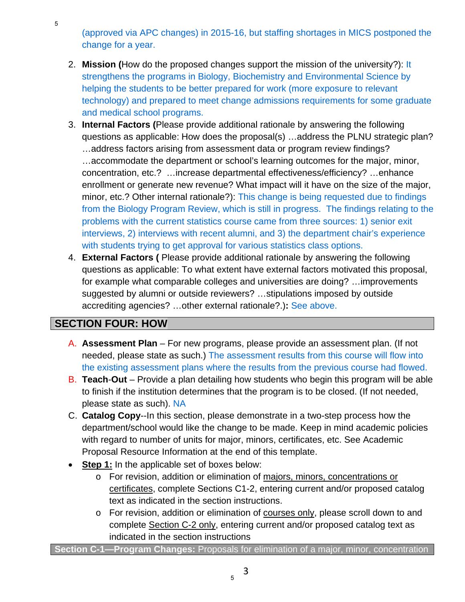(approved via APC changes) in 2015-16, but staffing shortages in MICS postponed the change for a year.

- 2. **Mission (**How do the proposed changes support the mission of the university?): It strengthens the programs in Biology, Biochemistry and Environmental Science by helping the students to be better prepared for work (more exposure to relevant technology) and prepared to meet change admissions requirements for some graduate and medical school programs.
- 3. **Internal Factors (**Please provide additional rationale by answering the following questions as applicable: How does the proposal(s) …address the PLNU strategic plan? …address factors arising from assessment data or program review findings? …accommodate the department or school's learning outcomes for the major, minor, concentration, etc.? …increase departmental effectiveness/efficiency? …enhance enrollment or generate new revenue? What impact will it have on the size of the major, minor, etc.? Other internal rationale?): This change is being requested due to findings from the Biology Program Review, which is still in progress. The findings relating to the problems with the current statistics course came from three sources: 1) senior exit interviews, 2) interviews with recent alumni, and 3) the department chair's experience with students trying to get approval for various statistics class options.
- 4. **External Factors (** Please provide additional rationale by answering the following questions as applicable: To what extent have external factors motivated this proposal, for example what comparable colleges and universities are doing? …improvements suggested by alumni or outside reviewers? …stipulations imposed by outside accrediting agencies? …other external rationale?.)**:** See above.

# **SECTION FOUR: HOW**

- A. **Assessment Plan** For new programs, please provide an assessment plan. (If not needed, please state as such.) The assessment results from this course will flow into the existing assessment plans where the results from the previous course had flowed.
- B. **Teach**-**Out**  Provide a plan detailing how students who begin this program will be able to finish if the institution determines that the program is to be closed. (If not needed, please state as such). NA
- C. **Catalog Copy**--In this section, please demonstrate in a two-step process how the department/school would like the change to be made. Keep in mind academic policies with regard to number of units for major, minors, certificates, etc. See Academic Proposal Resource Information at the end of this template.
- **Step 1:** In the applicable set of boxes below:
	- o For revision, addition or elimination of majors, minors, concentrations or certificates, complete Sections C1-2, entering current and/or proposed catalog text as indicated in the section instructions.
	- o For revision, addition or elimination of courses only, please scroll down to and complete Section C-2 only, entering current and/or proposed catalog text as indicated in the section instructions

**Section C-1—Program Changes:** Proposals for elimination of a major, minor, concentration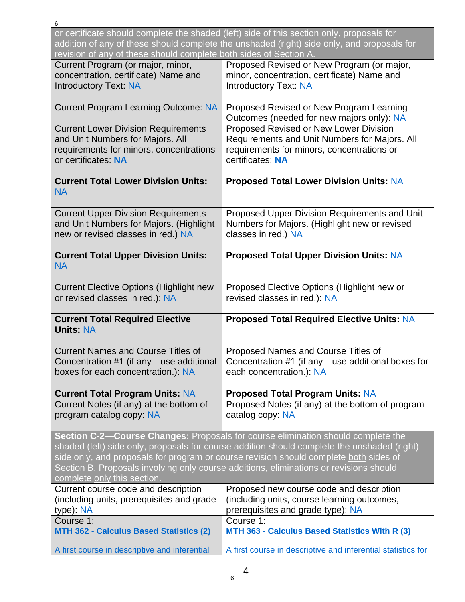| 6                                                                                                                                                                                                                                                                                                                                                                                                 |                                                                                                                                                                                         |  |
|---------------------------------------------------------------------------------------------------------------------------------------------------------------------------------------------------------------------------------------------------------------------------------------------------------------------------------------------------------------------------------------------------|-----------------------------------------------------------------------------------------------------------------------------------------------------------------------------------------|--|
| revision of any of these should complete both sides of Section A.                                                                                                                                                                                                                                                                                                                                 | or certificate should complete the shaded (left) side of this section only, proposals for<br>addition of any of these should complete the unshaded (right) side only, and proposals for |  |
| Current Program (or major, minor,<br>concentration, certificate) Name and<br><b>Introductory Text: NA</b>                                                                                                                                                                                                                                                                                         | Proposed Revised or New Program (or major,<br>minor, concentration, certificate) Name and<br><b>Introductory Text: NA</b>                                                               |  |
| <b>Current Program Learning Outcome: NA</b>                                                                                                                                                                                                                                                                                                                                                       | Proposed Revised or New Program Learning<br>Outcomes (needed for new majors only): NA                                                                                                   |  |
| <b>Current Lower Division Requirements</b><br>and Unit Numbers for Majors. All<br>requirements for minors, concentrations<br>or certificates: NA                                                                                                                                                                                                                                                  | Proposed Revised or New Lower Division<br>Requirements and Unit Numbers for Majors. All<br>requirements for minors, concentrations or<br>certificates: NA                               |  |
| <b>Current Total Lower Division Units:</b><br><b>NA</b>                                                                                                                                                                                                                                                                                                                                           | <b>Proposed Total Lower Division Units: NA</b>                                                                                                                                          |  |
| <b>Current Upper Division Requirements</b><br>and Unit Numbers for Majors. (Highlight<br>new or revised classes in red.) NA                                                                                                                                                                                                                                                                       | Proposed Upper Division Requirements and Unit<br>Numbers for Majors. (Highlight new or revised<br>classes in red.) NA                                                                   |  |
| <b>Current Total Upper Division Units:</b><br><b>NA</b>                                                                                                                                                                                                                                                                                                                                           | <b>Proposed Total Upper Division Units: NA</b>                                                                                                                                          |  |
| <b>Current Elective Options (Highlight new</b><br>or revised classes in red.): NA                                                                                                                                                                                                                                                                                                                 | Proposed Elective Options (Highlight new or<br>revised classes in red.): NA                                                                                                             |  |
| <b>Current Total Required Elective</b><br><b>Units: NA</b>                                                                                                                                                                                                                                                                                                                                        | <b>Proposed Total Required Elective Units: NA</b>                                                                                                                                       |  |
| <b>Current Names and Course Titles of</b><br>Concentration #1 (if any—use additional<br>boxes for each concentration.): NA                                                                                                                                                                                                                                                                        | Proposed Names and Course Titles of<br>Concentration #1 (if any—use additional boxes for<br>each concentration.): NA                                                                    |  |
| <b>Current Total Program Units: NA</b>                                                                                                                                                                                                                                                                                                                                                            | <b>Proposed Total Program Units: NA</b>                                                                                                                                                 |  |
| Current Notes (if any) at the bottom of<br>program catalog copy: NA                                                                                                                                                                                                                                                                                                                               | Proposed Notes (if any) at the bottom of program<br>catalog copy: NA                                                                                                                    |  |
| Section C-2-Course Changes: Proposals for course elimination should complete the<br>shaded (left) side only, proposals for course addition should complete the unshaded (right)<br>side only, and proposals for program or course revision should complete both sides of<br>Section B. Proposals involving only course additions, eliminations or revisions should<br>complete only this section. |                                                                                                                                                                                         |  |
| Current course code and description<br>(including units, prerequisites and grade<br>type): NA                                                                                                                                                                                                                                                                                                     | Proposed new course code and description<br>(including units, course learning outcomes,<br>prerequisites and grade type): NA                                                            |  |
| Course 1:<br>MTH 362 - Calculus Based Statistics (2)                                                                                                                                                                                                                                                                                                                                              | Course 1:<br>MTH 363 - Calculus Based Statistics With R (3)                                                                                                                             |  |
| A first course in descriptive and inferential                                                                                                                                                                                                                                                                                                                                                     | A first course in descriptive and inferential statistics for                                                                                                                            |  |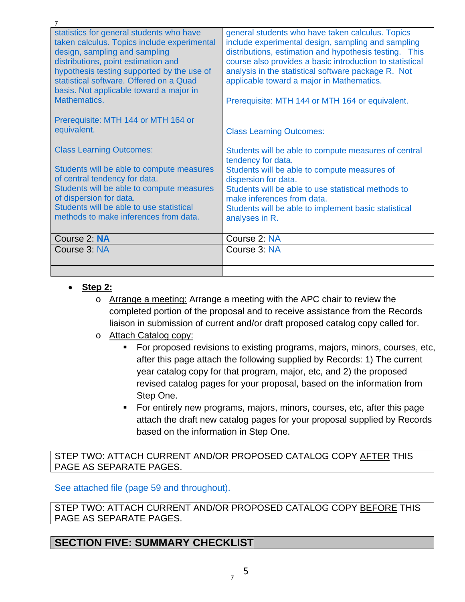| 7                                                                                                                                                                                                                                                                                                                   |                                                                                                                                                                                                                                                                                                                                                                                     |
|---------------------------------------------------------------------------------------------------------------------------------------------------------------------------------------------------------------------------------------------------------------------------------------------------------------------|-------------------------------------------------------------------------------------------------------------------------------------------------------------------------------------------------------------------------------------------------------------------------------------------------------------------------------------------------------------------------------------|
| statistics for general students who have<br>taken calculus. Topics include experimental<br>design, sampling and sampling<br>distributions, point estimation and<br>hypothesis testing supported by the use of<br>statistical software. Offered on a Quad<br>basis. Not applicable toward a major in<br>Mathematics. | general students who have taken calculus. Topics<br>include experimental design, sampling and sampling<br>distributions, estimation and hypothesis testing. This<br>course also provides a basic introduction to statistical<br>analysis in the statistical software package R. Not<br>applicable toward a major in Mathematics.<br>Prerequisite: MTH 144 or MTH 164 or equivalent. |
| Prerequisite: MTH 144 or MTH 164 or<br>equivalent.                                                                                                                                                                                                                                                                  | <b>Class Learning Outcomes:</b>                                                                                                                                                                                                                                                                                                                                                     |
| <b>Class Learning Outcomes:</b><br>Students will be able to compute measures<br>of central tendency for data.<br>Students will be able to compute measures<br>of dispersion for data.<br>Students will be able to use statistical<br>methods to make inferences from data.                                          | Students will be able to compute measures of central<br>tendency for data.<br>Students will be able to compute measures of<br>dispersion for data.<br>Students will be able to use statistical methods to<br>make inferences from data.<br>Students will be able to implement basic statistical<br>analyses in R.                                                                   |
| Course 2: NA                                                                                                                                                                                                                                                                                                        | Course 2: NA                                                                                                                                                                                                                                                                                                                                                                        |
| Course 3: NA                                                                                                                                                                                                                                                                                                        | Course 3: NA                                                                                                                                                                                                                                                                                                                                                                        |
|                                                                                                                                                                                                                                                                                                                     |                                                                                                                                                                                                                                                                                                                                                                                     |

- **Step 2:**
	- o Arrange a meeting: Arrange a meeting with the APC chair to review the completed portion of the proposal and to receive assistance from the Records liaison in submission of current and/or draft proposed catalog copy called for.
	- o Attach Catalog copy:
		- For proposed revisions to existing programs, majors, minors, courses, etc, after this page attach the following supplied by Records: 1) The current year catalog copy for that program, major, etc, and 2) the proposed revised catalog pages for your proposal, based on the information from Step One.
		- For entirely new programs, majors, minors, courses, etc, after this page attach the draft new catalog pages for your proposal supplied by Records based on the information in Step One.

STEP TWO: ATTACH CURRENT AND/OR PROPOSED CATALOG COPY AFTER THIS PAGE AS SEPARATE PAGES.

See attached file (page 59 and throughout).

STEP TWO: ATTACH CURRENT AND/OR PROPOSED CATALOG COPY BEFORE THIS PAGE AS SEPARATE PAGES.

## **SECTION FIVE: SUMMARY CHECKLIST**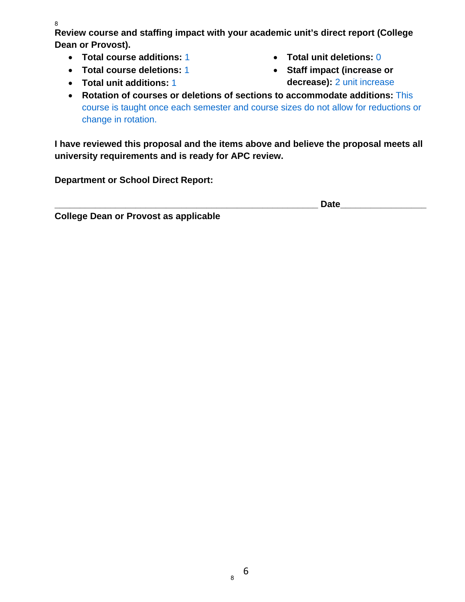8

**Review course and staffing impact with your academic unit's direct report (College Dean or Provost).** 

- **Total course additions:** 1
- **Total course deletions:** 1
- **Total unit additions:** 1
- **Total unit deletions:** 0
- **Staff impact (increase or decrease):** 2 unit increase
- **Rotation of courses or deletions of sections to accommodate additions:** This course is taught once each semester and course sizes do not allow for reductions or change in rotation.

**I have reviewed this proposal and the items above and believe the proposal meets all university requirements and is ready for APC review.** 

**Department or School Direct Report:** 

**\_\_\_\_\_\_\_\_\_\_\_\_\_\_\_\_\_\_\_\_\_\_\_\_\_\_\_\_\_\_\_\_\_\_\_\_\_\_\_\_\_\_\_\_\_\_\_\_\_\_\_\_ Date\_\_\_\_\_\_\_\_\_\_\_\_\_\_\_\_\_** 

**College Dean or Provost as applicable**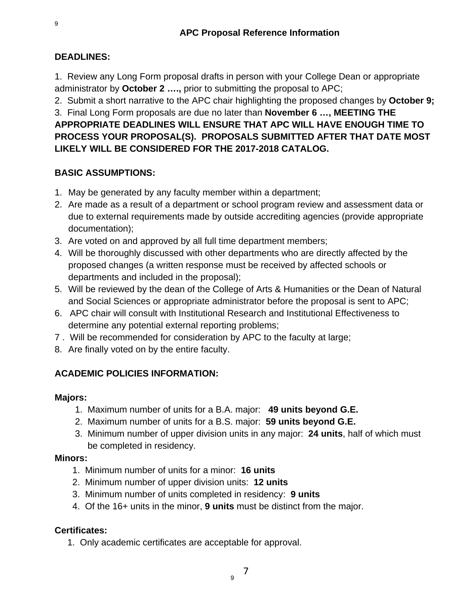## **DEADLINES:**

1. Review any Long Form proposal drafts in person with your College Dean or appropriate administrator by **October 2 ….,** prior to submitting the proposal to APC;

2. Submit a short narrative to the APC chair highlighting the proposed changes by **October 9;** 

3. Final Long Form proposals are due no later than **November 6 …, MEETING THE APPROPRIATE DEADLINES WILL ENSURE THAT APC WILL HAVE ENOUGH TIME TO PROCESS YOUR PROPOSAL(S). PROPOSALS SUBMITTED AFTER THAT DATE MOST LIKELY WILL BE CONSIDERED FOR THE 2017-2018 CATALOG.** 

## **BASIC ASSUMPTIONS:**

- 1. May be generated by any faculty member within a department;
- 2. Are made as a result of a department or school program review and assessment data or due to external requirements made by outside accrediting agencies (provide appropriate documentation);
- 3. Are voted on and approved by all full time department members;
- 4. Will be thoroughly discussed with other departments who are directly affected by the proposed changes (a written response must be received by affected schools or departments and included in the proposal);
- 5. Will be reviewed by the dean of the College of Arts & Humanities or the Dean of Natural and Social Sciences or appropriate administrator before the proposal is sent to APC;
- 6. APC chair will consult with Institutional Research and Institutional Effectiveness to determine any potential external reporting problems;
- 7 . Will be recommended for consideration by APC to the faculty at large;
- 8. Are finally voted on by the entire faculty.

## **ACADEMIC POLICIES INFORMATION:**

## **Majors:**

- 1. Maximum number of units for a B.A. major: **49 units beyond G.E.**
- 2. Maximum number of units for a B.S. major: **59 units beyond G.E.**
- 3. Minimum number of upper division units in any major: **24 units**, half of which must be completed in residency.

## **Minors:**

- 1. Minimum number of units for a minor: **16 units**
- 2. Minimum number of upper division units: **12 units**
- 3. Minimum number of units completed in residency: **9 units**
- 4. Of the 16+ units in the minor, **9 units** must be distinct from the major.

## **Certificates:**

1. Only academic certificates are acceptable for approval.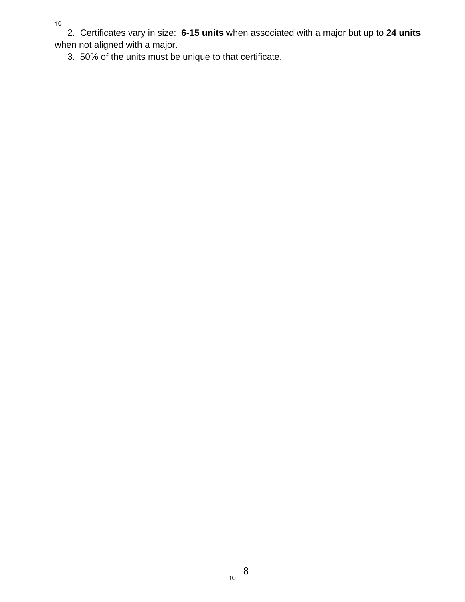10

 2. Certificates vary in size: **6-15 units** when associated with a major but up to **24 units**  when not aligned with a major.

3. 50% of the units must be unique to that certificate.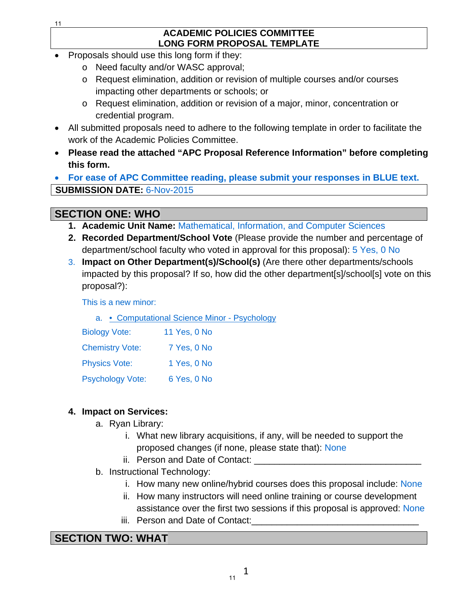#### **ACADEMIC POLICIES COMMITTEE LONG FORM PROPOSAL TEMPLATE**

- Proposals should use this long form if they:
	- o Need faculty and/or WASC approval;
	- o Request elimination, addition or revision of multiple courses and/or courses impacting other departments or schools; or
	- o Request elimination, addition or revision of a major, minor, concentration or credential program.
- All submitted proposals need to adhere to the following template in order to facilitate the work of the Academic Policies Committee.
- **Please read the attached "APC Proposal Reference Information" before completing this form.**

 **For ease of APC Committee reading, please submit your responses in BLUE text. SUBMISSION DATE:** 6-Nov-2015

# **SECTION ONE: WHO**

- **1. Academic Unit Name:** Mathematical, Information, and Computer Sciences
- **2. Recorded Department/School Vote** (Please provide the number and percentage of department/school faculty who voted in approval for this proposal): 5 Yes, 0 No
- 3. **Impact on Other Department(s)/School(s)** (Are there other departments/schools impacted by this proposal? If so, how did the other department[s]/school[s] vote on this proposal?):

This is a new minor:

a. • Computational Science Minor - Psychology

| <b>Biology Vote:</b>    | 11 Yes, 0 No |
|-------------------------|--------------|
| <b>Chemistry Vote:</b>  | 7 Yes, 0 No  |
| <b>Physics Vote:</b>    | 1 Yes, 0 No  |
| <b>Psychology Vote:</b> | 6 Yes, 0 No  |

## **4. Impact on Services:**

- a. Ryan Library:
	- i. What new library acquisitions, if any, will be needed to support the proposed changes (if none, please state that): None
	- ii. Person and Date of Contact:
- b. Instructional Technology:
	- i. How many new online/hybrid courses does this proposal include: None
	- ii. How many instructors will need online training or course development assistance over the first two sessions if this proposal is approved: None
	- iii. Person and Date of Contact:

# **SECTION TWO: WHAT**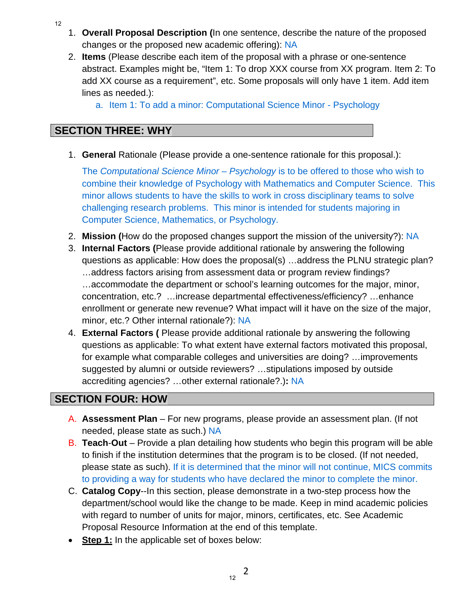- 1. **Overall Proposal Description (**In one sentence, describe the nature of the proposed changes or the proposed new academic offering): NA
- 2. **Items** (Please describe each item of the proposal with a phrase or one-sentence abstract. Examples might be, "Item 1: To drop XXX course from XX program. Item 2: To add XX course as a requirement", etc. Some proposals will only have 1 item. Add item lines as needed.):
	- a. Item 1: To add a minor: Computational Science Minor Psychology

## **SECTION THREE: WHY**

1. **General** Rationale (Please provide a one-sentence rationale for this proposal.):

The *Computational Science Minor – Psychology* is to be offered to those who wish to combine their knowledge of Psychology with Mathematics and Computer Science. This minor allows students to have the skills to work in cross disciplinary teams to solve challenging research problems. This minor is intended for students majoring in Computer Science, Mathematics, or Psychology.

- 2. **Mission (**How do the proposed changes support the mission of the university?): NA
- 3. **Internal Factors (**Please provide additional rationale by answering the following questions as applicable: How does the proposal(s) …address the PLNU strategic plan? …address factors arising from assessment data or program review findings? …accommodate the department or school's learning outcomes for the major, minor, concentration, etc.? …increase departmental effectiveness/efficiency? …enhance enrollment or generate new revenue? What impact will it have on the size of the major, minor, etc.? Other internal rationale?): NA
- 4. **External Factors (** Please provide additional rationale by answering the following questions as applicable: To what extent have external factors motivated this proposal, for example what comparable colleges and universities are doing? …improvements suggested by alumni or outside reviewers? …stipulations imposed by outside accrediting agencies? …other external rationale?.)**:** NA

# **SECTION FOUR: HOW**

- A. **Assessment Plan** For new programs, please provide an assessment plan. (If not needed, please state as such.) NA
- B. **Teach**-**Out**  Provide a plan detailing how students who begin this program will be able to finish if the institution determines that the program is to be closed. (If not needed, please state as such). If it is determined that the minor will not continue, MICS commits to providing a way for students who have declared the minor to complete the minor.
- C. **Catalog Copy**--In this section, please demonstrate in a two-step process how the department/school would like the change to be made. Keep in mind academic policies with regard to number of units for major, minors, certificates, etc. See Academic Proposal Resource Information at the end of this template.
- **Step 1:** In the applicable set of boxes below:

2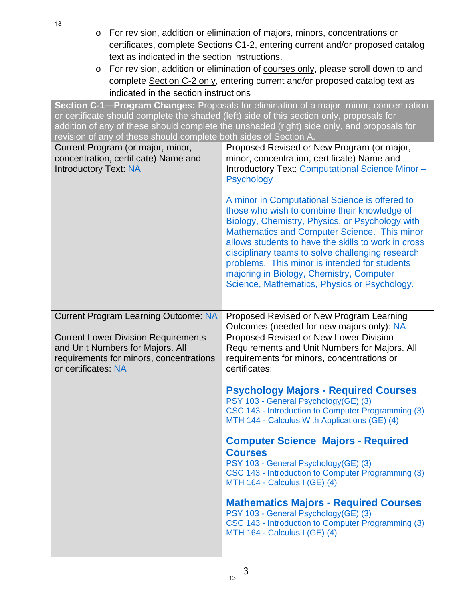- o For revision, addition or elimination of majors, minors, concentrations or certificates, complete Sections C1-2, entering current and/or proposed catalog text as indicated in the section instructions.
- o For revision, addition or elimination of courses only, please scroll down to and complete Section C-2 only, entering current and/or proposed catalog text as indicated in the section instructions

**Section C-1—Program Changes:** Proposals for elimination of a major, minor, concentration or certificate should complete the shaded (left) side of this section only, proposals for addition of any of these should complete the unshaded (right) side only, and proposals for revision of any of these should complete both sides of Section A. Current Program (or major, minor, concentration, certificate) Name and Introductory Text: NA Proposed Revised or New Program (or major, minor, concentration, certificate) Name and Introductory Text: Computational Science Minor – **Psychology** A minor in Computational Science is offered to those who wish to combine their knowledge of Biology, Chemistry, Physics, or Psychology with Mathematics and Computer Science. This minor allows students to have the skills to work in cross disciplinary teams to solve challenging research problems. This minor is intended for students majoring in Biology, Chemistry, Computer Science, Mathematics, Physics or Psychology. Current Program Learning Outcome: NA | Proposed Revised or New Program Learning Outcomes (needed for new majors only): NA Current Lower Division Requirements and Unit Numbers for Majors. All requirements for minors, concentrations or certificates: NA Proposed Revised or New Lower Division Requirements and Unit Numbers for Majors. All requirements for minors, concentrations or certificates: **Psychology Majors - Required Courses**  PSY 103 - General Psychology(GE) (3) CSC 143 - Introduction to Computer Programming (3) MTH 144 - Calculus With Applications (GE) (4) **Computer Science Majors - Required Courses**  PSY 103 - General Psychology(GE) (3) CSC 143 - Introduction to Computer Programming (3) MTH 164 - Calculus I (GE) (4) **Mathematics Majors - Required Courses**  PSY 103 - General Psychology(GE) (3) CSC 143 - Introduction to Computer Programming (3) MTH 164 - Calculus I (GE) (4)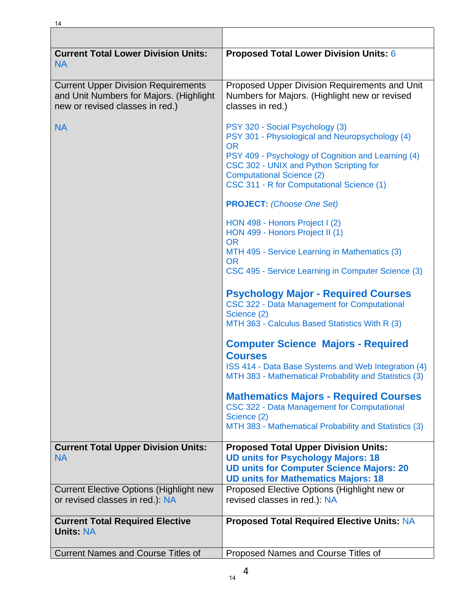| <b>Current Total Lower Division Units:</b><br><b>NA</b>                                                                  | <b>Proposed Total Lower Division Units: 6</b>                                                                                                                                                                                                                                     |
|--------------------------------------------------------------------------------------------------------------------------|-----------------------------------------------------------------------------------------------------------------------------------------------------------------------------------------------------------------------------------------------------------------------------------|
| <b>Current Upper Division Requirements</b><br>and Unit Numbers for Majors. (Highlight<br>new or revised classes in red.) | Proposed Upper Division Requirements and Unit<br>Numbers for Majors. (Highlight new or revised<br>classes in red.)                                                                                                                                                                |
| <b>NA</b>                                                                                                                | PSY 320 - Social Psychology (3)<br>PSY 301 - Physiological and Neuropsychology (4)<br><b>OR</b><br>PSY 409 - Psychology of Cognition and Learning (4)<br>CSC 302 - UNIX and Python Scripting for<br><b>Computational Science (2)</b><br>CSC 311 - R for Computational Science (1) |
|                                                                                                                          | <b>PROJECT:</b> (Choose One Set)                                                                                                                                                                                                                                                  |
|                                                                                                                          | HON 498 - Honors Project I (2)<br>HON 499 - Honors Project II (1)<br><b>OR</b><br>MTH 495 - Service Learning in Mathematics (3)<br><b>OR</b><br>CSC 495 - Service Learning in Computer Science (3)                                                                                |
|                                                                                                                          | <b>Psychology Major - Required Courses</b><br>CSC 322 - Data Management for Computational<br>Science (2)<br>MTH 363 - Calculus Based Statistics With R (3)                                                                                                                        |
|                                                                                                                          | <b>Computer Science Majors - Required</b><br><b>Courses</b><br>ISS 414 - Data Base Systems and Web Integration (4)<br>MTH 383 - Mathematical Probability and Statistics (3)                                                                                                       |
|                                                                                                                          | <b>Mathematics Majors - Required Courses</b><br>CSC 322 - Data Management for Computational<br>Science (2)<br>MTH 383 - Mathematical Probability and Statistics (3)                                                                                                               |
| <b>Current Total Upper Division Units:</b>                                                                               | <b>Proposed Total Upper Division Units:</b>                                                                                                                                                                                                                                       |
| <b>NA</b>                                                                                                                | <b>UD units for Psychology Majors: 18</b><br><b>UD units for Computer Science Majors: 20</b><br><b>UD units for Mathematics Majors: 18</b>                                                                                                                                        |
| <b>Current Elective Options (Highlight new</b><br>or revised classes in red.): NA                                        | Proposed Elective Options (Highlight new or<br>revised classes in red.): NA                                                                                                                                                                                                       |
| <b>Current Total Required Elective</b><br><b>Units: NA</b>                                                               | <b>Proposed Total Required Elective Units: NA</b>                                                                                                                                                                                                                                 |
| <b>Current Names and Course Titles of</b>                                                                                | Proposed Names and Course Titles of                                                                                                                                                                                                                                               |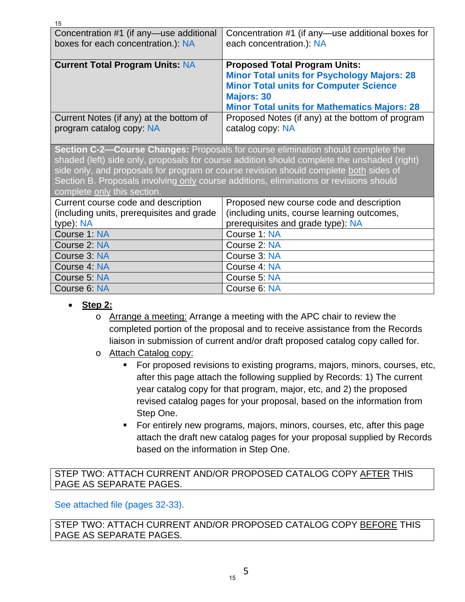| Concentration #1 (if any-use additional<br>boxes for each concentration.): NA                                                                                                                                                                                                                                                                                                                     | Concentration #1 (if any—use additional boxes for<br>each concentration.): NA                                                                                                                                           |  |
|---------------------------------------------------------------------------------------------------------------------------------------------------------------------------------------------------------------------------------------------------------------------------------------------------------------------------------------------------------------------------------------------------|-------------------------------------------------------------------------------------------------------------------------------------------------------------------------------------------------------------------------|--|
| <b>Current Total Program Units: NA</b>                                                                                                                                                                                                                                                                                                                                                            | <b>Proposed Total Program Units:</b><br><b>Minor Total units for Psychology Majors: 28</b><br><b>Minor Total units for Computer Science</b><br><b>Majors: 30</b><br><b>Minor Total units for Mathematics Majors: 28</b> |  |
| Current Notes (if any) at the bottom of<br>program catalog copy: NA                                                                                                                                                                                                                                                                                                                               | Proposed Notes (if any) at the bottom of program<br>catalog copy: NA                                                                                                                                                    |  |
| Section C-2-Course Changes: Proposals for course elimination should complete the<br>shaded (left) side only, proposals for course addition should complete the unshaded (right)<br>side only, and proposals for program or course revision should complete both sides of<br>Section B. Proposals involving only course additions, eliminations or revisions should<br>complete only this section. |                                                                                                                                                                                                                         |  |
| Current course code and description                                                                                                                                                                                                                                                                                                                                                               | Proposed new course code and description                                                                                                                                                                                |  |
| (including units, prerequisites and grade                                                                                                                                                                                                                                                                                                                                                         | (including units, course learning outcomes,                                                                                                                                                                             |  |
| type): NA                                                                                                                                                                                                                                                                                                                                                                                         | prerequisites and grade type): NA                                                                                                                                                                                       |  |
| Course 1: NA                                                                                                                                                                                                                                                                                                                                                                                      | Course 1: NA                                                                                                                                                                                                            |  |
| Course 2: NA                                                                                                                                                                                                                                                                                                                                                                                      | Course 2: NA                                                                                                                                                                                                            |  |
| Course 3: NA                                                                                                                                                                                                                                                                                                                                                                                      | Course 3: NA                                                                                                                                                                                                            |  |
| Course 4: NA                                                                                                                                                                                                                                                                                                                                                                                      | Course 4: NA                                                                                                                                                                                                            |  |
| Course 5: NA                                                                                                                                                                                                                                                                                                                                                                                      | Course 5: NA                                                                                                                                                                                                            |  |
| Course 6: NA                                                                                                                                                                                                                                                                                                                                                                                      | Course 6: NA                                                                                                                                                                                                            |  |

**Step 2:**

15

- o Arrange a meeting: Arrange a meeting with the APC chair to review the completed portion of the proposal and to receive assistance from the Records liaison in submission of current and/or draft proposed catalog copy called for.
- o Attach Catalog copy:
	- For proposed revisions to existing programs, majors, minors, courses, etc, after this page attach the following supplied by Records: 1) The current year catalog copy for that program, major, etc, and 2) the proposed revised catalog pages for your proposal, based on the information from Step One.
	- For entirely new programs, majors, minors, courses, etc, after this page attach the draft new catalog pages for your proposal supplied by Records based on the information in Step One.

STEP TWO: ATTACH CURRENT AND/OR PROPOSED CATALOG COPY AFTER THIS PAGE AS SEPARATE PAGES.

See attached file (pages 32-33).

STEP TWO: ATTACH CURRENT AND/OR PROPOSED CATALOG COPY BEFORE THIS PAGE AS SEPARATE PAGES.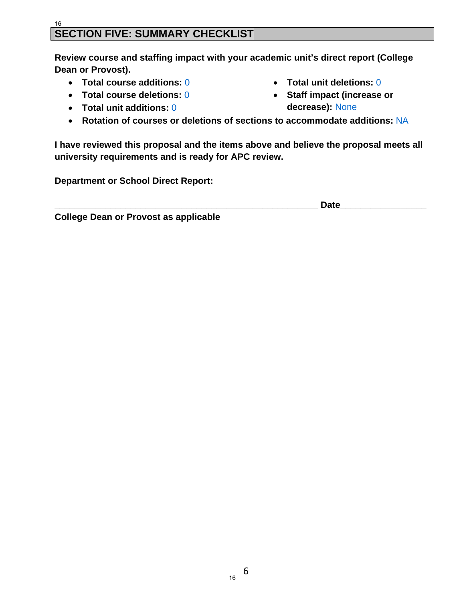#### **SECTION FIVE: SUMMARY CHECKLIST**  16

**Review course and staffing impact with your academic unit's direct report (College Dean or Provost).** 

- **Total course additions:** 0
- **Total course deletions:** 0
- **Total unit additions:** 0
- **Total unit deletions:** 0
- **Staff impact (increase or decrease):** None
- **Rotation of courses or deletions of sections to accommodate additions:** NA

**I have reviewed this proposal and the items above and believe the proposal meets all university requirements and is ready for APC review.** 

**Department or School Direct Report:** 

**\_\_\_\_\_\_\_\_\_\_\_\_\_\_\_\_\_\_\_\_\_\_\_\_\_\_\_\_\_\_\_\_\_\_\_\_\_\_\_\_\_\_\_\_\_\_\_\_\_\_\_\_ Date\_\_\_\_\_\_\_\_\_\_\_\_\_\_\_\_\_** 

**College Dean or Provost as applicable**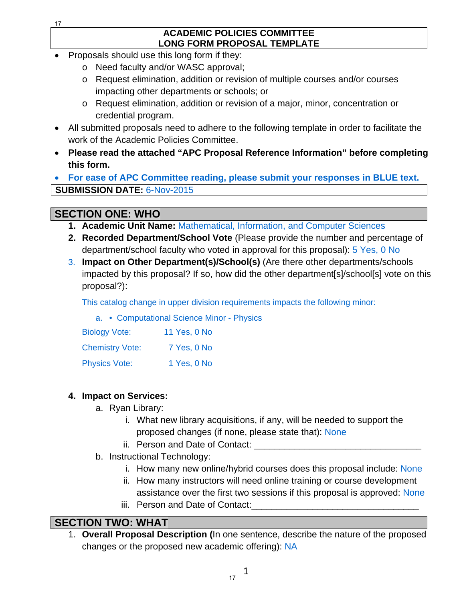#### **ACADEMIC POLICIES COMMITTEE LONG FORM PROPOSAL TEMPLATE**

- Proposals should use this long form if they:
	- o Need faculty and/or WASC approval;
	- o Request elimination, addition or revision of multiple courses and/or courses impacting other departments or schools; or
	- o Request elimination, addition or revision of a major, minor, concentration or credential program.
- All submitted proposals need to adhere to the following template in order to facilitate the work of the Academic Policies Committee.
- **Please read the attached "APC Proposal Reference Information" before completing this form.**

 **For ease of APC Committee reading, please submit your responses in BLUE text. SUBMISSION DATE:** 6-Nov-2015

# **SECTION ONE: WHO**

- **1. Academic Unit Name:** Mathematical, Information, and Computer Sciences
- **2. Recorded Department/School Vote** (Please provide the number and percentage of department/school faculty who voted in approval for this proposal): 5 Yes, 0 No
- 3. **Impact on Other Department(s)/School(s)** (Are there other departments/schools impacted by this proposal? If so, how did the other department[s]/school[s] vote on this proposal?):

This catalog change in upper division requirements impacts the following minor:

|  | a. • Computational Science Minor - Physics |  |  |
|--|--------------------------------------------|--|--|
|  |                                            |  |  |

| <b>Biology Vote:</b>   | 11 Yes, 0 No |
|------------------------|--------------|
| <b>Chemistry Vote:</b> | 7 Yes, 0 No  |
| <b>Physics Vote:</b>   | 1 Yes, 0 No  |

## **4. Impact on Services:**

- a. Ryan Library:
	- i. What new library acquisitions, if any, will be needed to support the proposed changes (if none, please state that): None
	- ii. Person and Date of Contact:
- b. Instructional Technology:
	- i. How many new online/hybrid courses does this proposal include: None
	- ii. How many instructors will need online training or course development assistance over the first two sessions if this proposal is approved: None
	- iii. Person and Date of Contact:

# **SECTION TWO: WHAT**

1. **Overall Proposal Description (**In one sentence, describe the nature of the proposed changes or the proposed new academic offering): NA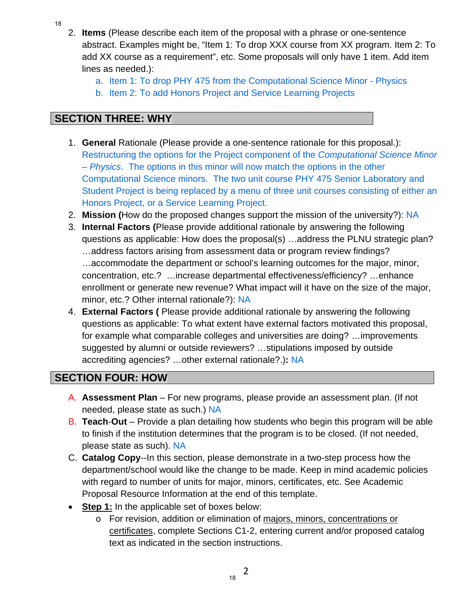- 18
- 2. **Items** (Please describe each item of the proposal with a phrase or one-sentence abstract. Examples might be, "Item 1: To drop XXX course from XX program. Item 2: To add XX course as a requirement", etc. Some proposals will only have 1 item. Add item lines as needed.):
	- a. Item 1: To drop PHY 475 from the Computational Science Minor Physics
	- b. Item 2: To add Honors Project and Service Learning Projects

# **SECTION THREE: WHY**

- 1. **General** Rationale (Please provide a one-sentence rationale for this proposal.): Restructuring the options for the Project component of the *Computational Science Minor – Physics*. The options in this minor will now match the options in the other Computational Science minors. The two unit course PHY 475 Senior Laboratory and Student Project is being replaced by a menu of three unit courses consisting of either an Honors Project, or a Service Learning Project.
- 2. **Mission (**How do the proposed changes support the mission of the university?): NA
- 3. **Internal Factors (**Please provide additional rationale by answering the following questions as applicable: How does the proposal(s) …address the PLNU strategic plan? …address factors arising from assessment data or program review findings? …accommodate the department or school's learning outcomes for the major, minor, concentration, etc.? …increase departmental effectiveness/efficiency? …enhance enrollment or generate new revenue? What impact will it have on the size of the major, minor, etc.? Other internal rationale?): NA
- 4. **External Factors (** Please provide additional rationale by answering the following questions as applicable: To what extent have external factors motivated this proposal, for example what comparable colleges and universities are doing? …improvements suggested by alumni or outside reviewers? …stipulations imposed by outside accrediting agencies? …other external rationale?.)**:** NA

# **SECTION FOUR: HOW**

- A. **Assessment Plan** For new programs, please provide an assessment plan. (If not needed, please state as such.) NA
- B. **Teach**-**Out**  Provide a plan detailing how students who begin this program will be able to finish if the institution determines that the program is to be closed. (If not needed, please state as such). NA
- C. **Catalog Copy**--In this section, please demonstrate in a two-step process how the department/school would like the change to be made. Keep in mind academic policies with regard to number of units for major, minors, certificates, etc. See Academic Proposal Resource Information at the end of this template.
- **Step 1:** In the applicable set of boxes below:
	- o For revision, addition or elimination of majors, minors, concentrations or certificates, complete Sections C1-2, entering current and/or proposed catalog text as indicated in the section instructions.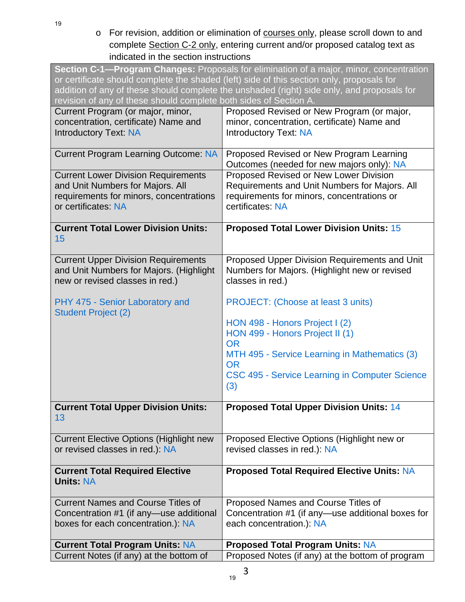19

o For revision, addition or elimination of courses only, please scroll down to and complete Section C-2 only, entering current and/or proposed catalog text as indicated in the section instructions

| Section C-1-Program Changes: Proposals for elimination of a major, minor, concentration<br>or certificate should complete the shaded (left) side of this section only, proposals for<br>addition of any of these should complete the unshaded (right) side only, and proposals for<br>revision of any of these should complete both sides of Section A. |                                                   |  |
|---------------------------------------------------------------------------------------------------------------------------------------------------------------------------------------------------------------------------------------------------------------------------------------------------------------------------------------------------------|---------------------------------------------------|--|
| Current Program (or major, minor,                                                                                                                                                                                                                                                                                                                       | Proposed Revised or New Program (or major,        |  |
| concentration, certificate) Name and                                                                                                                                                                                                                                                                                                                    | minor, concentration, certificate) Name and       |  |
| <b>Introductory Text: NA</b>                                                                                                                                                                                                                                                                                                                            | <b>Introductory Text: NA</b>                      |  |
| <b>Current Program Learning Outcome: NA</b>                                                                                                                                                                                                                                                                                                             | Proposed Revised or New Program Learning          |  |
|                                                                                                                                                                                                                                                                                                                                                         | Outcomes (needed for new majors only): NA         |  |
| <b>Current Lower Division Requirements</b>                                                                                                                                                                                                                                                                                                              | Proposed Revised or New Lower Division            |  |
| and Unit Numbers for Majors. All                                                                                                                                                                                                                                                                                                                        | Requirements and Unit Numbers for Majors. All     |  |
| requirements for minors, concentrations                                                                                                                                                                                                                                                                                                                 | requirements for minors, concentrations or        |  |
| or certificates: NA                                                                                                                                                                                                                                                                                                                                     | certificates: NA                                  |  |
| <b>Current Total Lower Division Units:</b>                                                                                                                                                                                                                                                                                                              | <b>Proposed Total Lower Division Units: 15</b>    |  |
| 15                                                                                                                                                                                                                                                                                                                                                      |                                                   |  |
| <b>Current Upper Division Requirements</b>                                                                                                                                                                                                                                                                                                              | Proposed Upper Division Requirements and Unit     |  |
| and Unit Numbers for Majors. (Highlight                                                                                                                                                                                                                                                                                                                 | Numbers for Majors. (Highlight new or revised     |  |
| new or revised classes in red.)                                                                                                                                                                                                                                                                                                                         | classes in red.)                                  |  |
| PHY 475 - Senior Laboratory and                                                                                                                                                                                                                                                                                                                         | <b>PROJECT:</b> (Choose at least 3 units)         |  |
| <b>Student Project (2)</b>                                                                                                                                                                                                                                                                                                                              |                                                   |  |
|                                                                                                                                                                                                                                                                                                                                                         | HON 498 - Honors Project I (2)                    |  |
|                                                                                                                                                                                                                                                                                                                                                         | HON 499 - Honors Project II (1)<br><b>OR</b>      |  |
|                                                                                                                                                                                                                                                                                                                                                         | MTH 495 - Service Learning in Mathematics (3)     |  |
|                                                                                                                                                                                                                                                                                                                                                         | <b>OR</b>                                         |  |
|                                                                                                                                                                                                                                                                                                                                                         | CSC 495 - Service Learning in Computer Science    |  |
|                                                                                                                                                                                                                                                                                                                                                         | (3)                                               |  |
| <b>Current Total Upper Division Units:</b>                                                                                                                                                                                                                                                                                                              | <b>Proposed Total Upper Division Units: 14</b>    |  |
| 13                                                                                                                                                                                                                                                                                                                                                      |                                                   |  |
| <b>Current Elective Options (Highlight new</b>                                                                                                                                                                                                                                                                                                          | Proposed Elective Options (Highlight new or       |  |
| or revised classes in red.): NA                                                                                                                                                                                                                                                                                                                         | revised classes in red.): NA                      |  |
| <b>Current Total Required Elective</b>                                                                                                                                                                                                                                                                                                                  | <b>Proposed Total Required Elective Units: NA</b> |  |
| <b>Units: NA</b>                                                                                                                                                                                                                                                                                                                                        |                                                   |  |
| <b>Current Names and Course Titles of</b>                                                                                                                                                                                                                                                                                                               | Proposed Names and Course Titles of               |  |
| Concentration #1 (if any—use additional                                                                                                                                                                                                                                                                                                                 | Concentration #1 (if any—use additional boxes for |  |
| boxes for each concentration.): NA                                                                                                                                                                                                                                                                                                                      | each concentration.): NA                          |  |
| <b>Current Total Program Units: NA</b>                                                                                                                                                                                                                                                                                                                  | <b>Proposed Total Program Units: NA</b>           |  |
| Current Notes (if any) at the bottom of                                                                                                                                                                                                                                                                                                                 | Proposed Notes (if any) at the bottom of program  |  |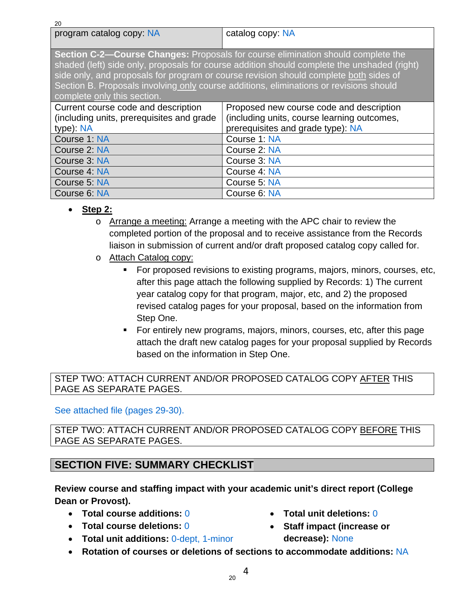| 20                                                                                                                                                                                                                                                                                                                                                                                                       |                                             |  |
|----------------------------------------------------------------------------------------------------------------------------------------------------------------------------------------------------------------------------------------------------------------------------------------------------------------------------------------------------------------------------------------------------------|---------------------------------------------|--|
| program catalog copy: NA                                                                                                                                                                                                                                                                                                                                                                                 | catalog copy: NA                            |  |
|                                                                                                                                                                                                                                                                                                                                                                                                          |                                             |  |
| <b>Section C-2—Course Changes: Proposals for course elimination should complete the</b><br>shaded (left) side only, proposals for course addition should complete the unshaded (right)<br>side only, and proposals for program or course revision should complete both sides of<br>Section B. Proposals involving only course additions, eliminations or revisions should<br>complete only this section. |                                             |  |
| Current course code and description                                                                                                                                                                                                                                                                                                                                                                      | Proposed new course code and description    |  |
| (including units, prerequisites and grade                                                                                                                                                                                                                                                                                                                                                                | (including units, course learning outcomes, |  |
| type): NA                                                                                                                                                                                                                                                                                                                                                                                                | prerequisites and grade type): NA           |  |
| Course 1: NA                                                                                                                                                                                                                                                                                                                                                                                             | Course 1: NA                                |  |
| Course 2: NA                                                                                                                                                                                                                                                                                                                                                                                             | Course 2: NA                                |  |
| Course 3: NA                                                                                                                                                                                                                                                                                                                                                                                             | Course 3: NA                                |  |
| Course 4: NA                                                                                                                                                                                                                                                                                                                                                                                             | Course 4: NA                                |  |
| Course 5: NA                                                                                                                                                                                                                                                                                                                                                                                             | Course 5: NA                                |  |
| Course 6: NA                                                                                                                                                                                                                                                                                                                                                                                             | Course 6: NA                                |  |

- **Step 2:**
	- o Arrange a meeting: Arrange a meeting with the APC chair to review the completed portion of the proposal and to receive assistance from the Records liaison in submission of current and/or draft proposed catalog copy called for.
	- o Attach Catalog copy:
		- For proposed revisions to existing programs, majors, minors, courses, etc, after this page attach the following supplied by Records: 1) The current year catalog copy for that program, major, etc, and 2) the proposed revised catalog pages for your proposal, based on the information from Step One.
		- For entirely new programs, majors, minors, courses, etc, after this page attach the draft new catalog pages for your proposal supplied by Records based on the information in Step One.

#### STEP TWO: ATTACH CURRENT AND/OR PROPOSED CATALOG COPY AFTER THIS PAGE AS SEPARATE PAGES.

See attached file (pages 29-30).

STEP TWO: ATTACH CURRENT AND/OR PROPOSED CATALOG COPY BEFORE THIS PAGE AS SEPARATE PAGES.

## **SECTION FIVE: SUMMARY CHECKLIST**

### **Review course and staffing impact with your academic unit's direct report (College Dean or Provost).**

- **Total course additions:** 0
- **Total course deletions:** 0
- **Total unit additions:** 0-dept, 1-minor
- **Total unit deletions:** 0
- **Staff impact (increase or decrease):** None
- **Rotation of courses or deletions of sections to accommodate additions:** NA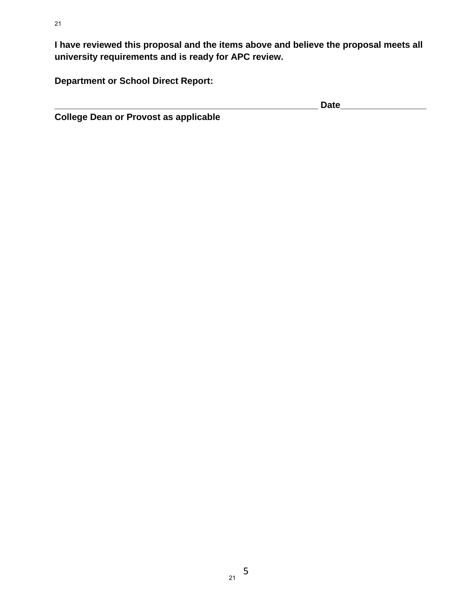**I have reviewed this proposal and the items above and believe the proposal meets all university requirements and is ready for APC review.** 

**Department or School Direct Report:** 

**\_\_\_\_\_\_\_\_\_\_\_\_\_\_\_\_\_\_\_\_\_\_\_\_\_\_\_\_\_\_\_\_\_\_\_\_\_\_\_\_\_\_\_\_\_\_\_\_\_\_\_\_ Date\_\_\_\_\_\_\_\_\_\_\_\_\_\_\_\_\_** 

**College Dean or Provost as applicable**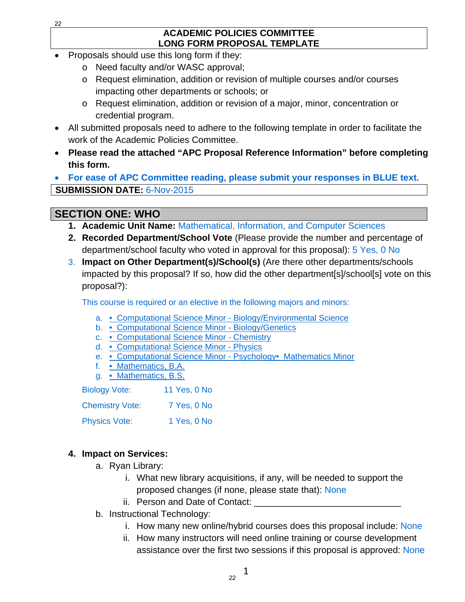#### **ACADEMIC POLICIES COMMITTEE LONG FORM PROPOSAL TEMPLATE**

- Proposals should use this long form if they:
	- o Need faculty and/or WASC approval;
	- o Request elimination, addition or revision of multiple courses and/or courses impacting other departments or schools; or
	- o Request elimination, addition or revision of a major, minor, concentration or credential program.
- All submitted proposals need to adhere to the following template in order to facilitate the work of the Academic Policies Committee.
- **Please read the attached "APC Proposal Reference Information" before completing this form.**

 **For ease of APC Committee reading, please submit your responses in BLUE text. SUBMISSION DATE:** 6-Nov-2015

# **SECTION ONE: WHO**

- **1. Academic Unit Name:** Mathematical, Information, and Computer Sciences
- **2. Recorded Department/School Vote** (Please provide the number and percentage of department/school faculty who voted in approval for this proposal): 5 Yes, 0 No
- 3. **Impact on Other Department(s)/School(s)** (Are there other departments/schools impacted by this proposal? If so, how did the other department[s]/school[s] vote on this proposal?):

This course is required or an elective in the following majors and minors:

- a. Computational Science Minor Biology/Environmental Science
- b. Computational Science Minor Biology/Genetics
- c. Computational Science Minor Chemistry
- d. Computational Science Minor Physics
- e. Computational Science Minor Psychology• Mathematics Minor
- f. Mathematics, B.A.
- g. Mathematics, B.S.

| <b>Biology Vote:</b>   | 11 Yes, 0 No |
|------------------------|--------------|
| <b>Chemistry Vote:</b> | 7 Yes, 0 No  |
| <b>Physics Vote:</b>   | 1 Yes, 0 No  |

## **4. Impact on Services:**

- a. Ryan Library:
	- i. What new library acquisitions, if any, will be needed to support the proposed changes (if none, please state that): None
	- ii. Person and Date of Contact:
- b. Instructional Technology:
	- i. How many new online/hybrid courses does this proposal include: None
	- ii. How many instructors will need online training or course development assistance over the first two sessions if this proposal is approved: None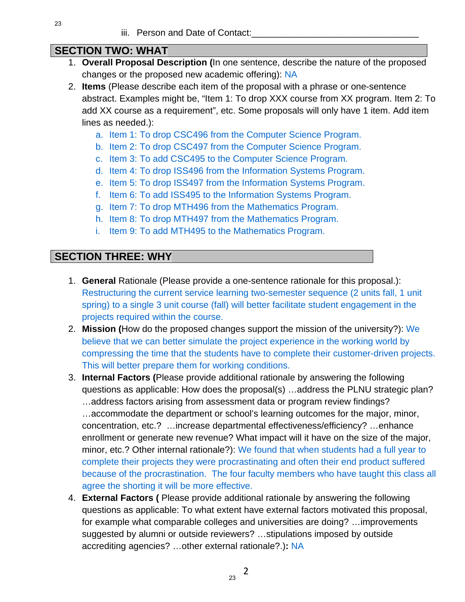## **SECTION TWO: WHAT**

- 1. **Overall Proposal Description (**In one sentence, describe the nature of the proposed changes or the proposed new academic offering): NA
- 2. **Items** (Please describe each item of the proposal with a phrase or one-sentence abstract. Examples might be, "Item 1: To drop XXX course from XX program. Item 2: To add XX course as a requirement", etc. Some proposals will only have 1 item. Add item lines as needed.):
	- a. Item 1: To drop CSC496 from the Computer Science Program.
	- b. Item 2: To drop CSC497 from the Computer Science Program.
	- c. Item 3: To add CSC495 to the Computer Science Program.
	- d. Item 4: To drop ISS496 from the Information Systems Program.
	- e. Item 5: To drop ISS497 from the Information Systems Program.
	- f. Item 6: To add ISS495 to the Information Systems Program.
	- g. Item 7: To drop MTH496 from the Mathematics Program.
	- h. Item 8: To drop MTH497 from the Mathematics Program.
	- i. Item 9: To add MTH495 to the Mathematics Program.

## **SECTION THREE: WHY**

- 1. **General** Rationale (Please provide a one-sentence rationale for this proposal.): Restructuring the current service learning two-semester sequence (2 units fall, 1 unit spring) to a single 3 unit course (fall) will better facilitate student engagement in the projects required within the course.
- 2. **Mission (**How do the proposed changes support the mission of the university?): We believe that we can better simulate the project experience in the working world by compressing the time that the students have to complete their customer-driven projects. This will better prepare them for working conditions.
- 3. **Internal Factors (**Please provide additional rationale by answering the following questions as applicable: How does the proposal(s) …address the PLNU strategic plan? …address factors arising from assessment data or program review findings? …accommodate the department or school's learning outcomes for the major, minor, concentration, etc.? …increase departmental effectiveness/efficiency? …enhance enrollment or generate new revenue? What impact will it have on the size of the major, minor, etc.? Other internal rationale?): We found that when students had a full year to complete their projects they were procrastinating and often their end product suffered because of the procrastination. The four faculty members who have taught this class all agree the shorting it will be more effective.
- 4. **External Factors (** Please provide additional rationale by answering the following questions as applicable: To what extent have external factors motivated this proposal, for example what comparable colleges and universities are doing? …improvements suggested by alumni or outside reviewers? …stipulations imposed by outside accrediting agencies? …other external rationale?.)**:** NA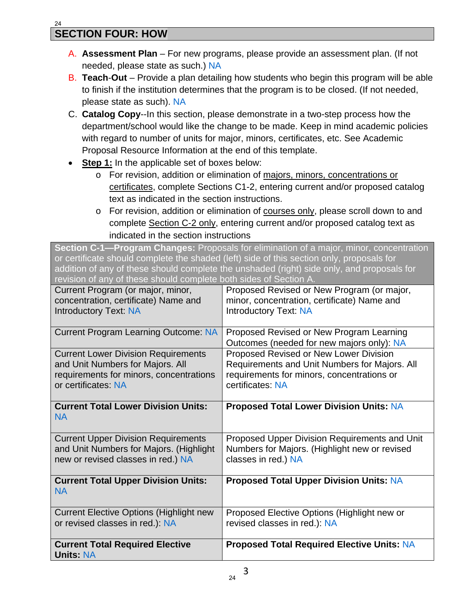- A. **Assessment Plan** For new programs, please provide an assessment plan. (If not needed, please state as such.) NA
- B. **Teach**-**Out**  Provide a plan detailing how students who begin this program will be able to finish if the institution determines that the program is to be closed. (If not needed, please state as such). NA
- C. **Catalog Copy**--In this section, please demonstrate in a two-step process how the department/school would like the change to be made. Keep in mind academic policies with regard to number of units for major, minors, certificates, etc. See Academic Proposal Resource Information at the end of this template.
- **Step 1:** In the applicable set of boxes below:
	- o For revision, addition or elimination of majors, minors, concentrations or certificates, complete Sections C1-2, entering current and/or proposed catalog text as indicated in the section instructions.
	- o For revision, addition or elimination of courses only, please scroll down to and complete Section C-2 only, entering current and/or proposed catalog text as indicated in the section instructions

**Section C-1—Program Changes:** Proposals for elimination of a major, minor, concentration or certificate should complete the shaded (left) side of this section only, proposals for addition of any of these should complete the unshaded (right) side only, and proposals for revision of any of these should complete both sides of Section A.

| Current Program (or major, minor,                          | Proposed Revised or New Program (or major,                                            |
|------------------------------------------------------------|---------------------------------------------------------------------------------------|
| concentration, certificate) Name and                       | minor, concentration, certificate) Name and                                           |
| <b>Introductory Text: NA</b>                               | <b>Introductory Text: NA</b>                                                          |
| <b>Current Program Learning Outcome: NA</b>                | Proposed Revised or New Program Learning<br>Outcomes (needed for new majors only): NA |
| <b>Current Lower Division Requirements</b>                 | Proposed Revised or New Lower Division                                                |
| and Unit Numbers for Majors. All                           | Requirements and Unit Numbers for Majors. All                                         |
| requirements for minors, concentrations                    | requirements for minors, concentrations or                                            |
| or certificates: NA                                        | certificates: NA                                                                      |
| <b>Current Total Lower Division Units:</b><br><b>NA</b>    | <b>Proposed Total Lower Division Units: NA</b>                                        |
| <b>Current Upper Division Requirements</b>                 | Proposed Upper Division Requirements and Unit                                         |
| and Unit Numbers for Majors. (Highlight                    | Numbers for Majors. (Highlight new or revised                                         |
| new or revised classes in red.) NA                         | classes in red.) NA                                                                   |
| <b>Current Total Upper Division Units:</b><br><b>NA</b>    | <b>Proposed Total Upper Division Units: NA</b>                                        |
| <b>Current Elective Options (Highlight new</b>             | Proposed Elective Options (Highlight new or                                           |
| or revised classes in red.): NA                            | revised classes in red.): NA                                                          |
| <b>Current Total Required Elective</b><br><b>Units: NA</b> | <b>Proposed Total Required Elective Units: NA</b>                                     |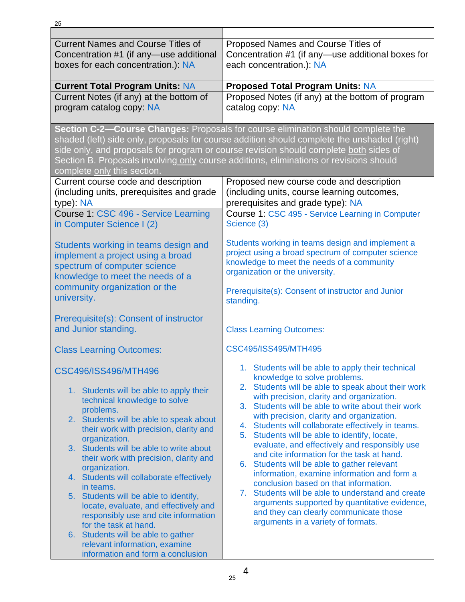| <b>Current Names and Course Titles of</b><br>Concentration #1 (if any—use additional<br>boxes for each concentration.): NA                                                                                                                                               | Proposed Names and Course Titles of<br>Concentration #1 (if any-use additional boxes for<br>each concentration.): NA                                                                                                                                                                                                                                                                                                   |  |
|--------------------------------------------------------------------------------------------------------------------------------------------------------------------------------------------------------------------------------------------------------------------------|------------------------------------------------------------------------------------------------------------------------------------------------------------------------------------------------------------------------------------------------------------------------------------------------------------------------------------------------------------------------------------------------------------------------|--|
| <b>Current Total Program Units: NA</b>                                                                                                                                                                                                                                   | <b>Proposed Total Program Units: NA</b>                                                                                                                                                                                                                                                                                                                                                                                |  |
| Current Notes (if any) at the bottom of<br>program catalog copy: NA                                                                                                                                                                                                      | Proposed Notes (if any) at the bottom of program<br>catalog copy: NA                                                                                                                                                                                                                                                                                                                                                   |  |
| complete only this section.                                                                                                                                                                                                                                              | Section C-2-Course Changes: Proposals for course elimination should complete the<br>shaded (left) side only, proposals for course addition should complete the unshaded (right)<br>side only, and proposals for program or course revision should complete both sides of<br>Section B. Proposals involving only course additions, eliminations or revisions should                                                     |  |
| Current course code and description<br>(including units, prerequisites and grade<br>type): NA                                                                                                                                                                            | Proposed new course code and description<br>(including units, course learning outcomes,<br>prerequisites and grade type): NA                                                                                                                                                                                                                                                                                           |  |
| Course 1: CSC 496 - Service Learning<br>in Computer Science I (2)                                                                                                                                                                                                        | Course 1: CSC 495 - Service Learning in Computer<br>Science (3)                                                                                                                                                                                                                                                                                                                                                        |  |
| Students working in teams design and<br>implement a project using a broad<br>spectrum of computer science<br>knowledge to meet the needs of a<br>community organization or the                                                                                           | Students working in teams design and implement a<br>project using a broad spectrum of computer science<br>knowledge to meet the needs of a community<br>organization or the university.<br>Prerequisite(s): Consent of instructor and Junior                                                                                                                                                                           |  |
| university.<br>Prerequisite(s): Consent of instructor                                                                                                                                                                                                                    | standing.                                                                                                                                                                                                                                                                                                                                                                                                              |  |
| and Junior standing.                                                                                                                                                                                                                                                     | <b>Class Learning Outcomes:</b>                                                                                                                                                                                                                                                                                                                                                                                        |  |
| <b>Class Learning Outcomes:</b>                                                                                                                                                                                                                                          | CSC495/ISS495/MTH495                                                                                                                                                                                                                                                                                                                                                                                                   |  |
| CSC496/ISS496/MTH496<br>1. Students will be able to apply their<br>technical knowledge to solve<br>problems.<br>2. Students will be able to speak about<br>their work with precision, clarity and                                                                        | 1. Students will be able to apply their technical<br>knowledge to solve problems.<br>Students will be able to speak about their work<br>2.<br>with precision, clarity and organization.<br>Students will be able to write about their work<br>3 <sub>1</sub><br>with precision, clarity and organization.<br>Students will collaborate effectively in teams.<br>4.<br>Students will be able to identify, locate,<br>5. |  |
| organization.<br>3. Students will be able to write about<br>their work with precision, clarity and<br>organization.<br>4. Students will collaborate effectively                                                                                                          | evaluate, and effectively and responsibly use<br>and cite information for the task at hand.<br>6. Students will be able to gather relevant<br>information, examine information and form a                                                                                                                                                                                                                              |  |
| in teams.<br>5. Students will be able to identify,<br>locate, evaluate, and effectively and<br>responsibly use and cite information<br>for the task at hand.<br>6. Students will be able to gather<br>relevant information, examine<br>information and form a conclusion | conclusion based on that information.<br>7. Students will be able to understand and create<br>arguments supported by quantitative evidence,<br>and they can clearly communicate those<br>arguments in a variety of formats.                                                                                                                                                                                            |  |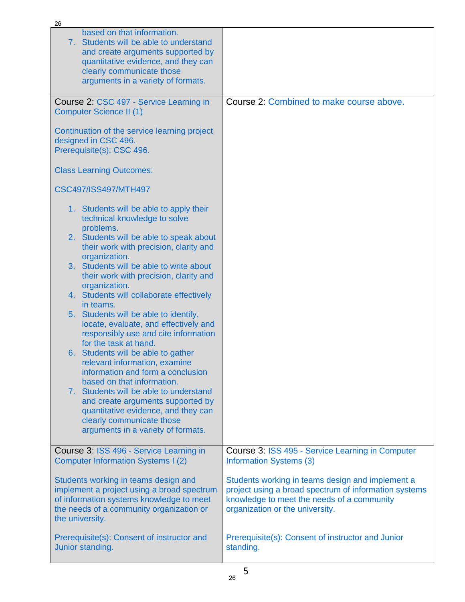| 26                                                                                                                                                                                                                  |                                                                                                                                                                                            |
|---------------------------------------------------------------------------------------------------------------------------------------------------------------------------------------------------------------------|--------------------------------------------------------------------------------------------------------------------------------------------------------------------------------------------|
| based on that information.<br>7. Students will be able to understand<br>and create arguments supported by<br>quantitative evidence, and they can<br>clearly communicate those<br>arguments in a variety of formats. |                                                                                                                                                                                            |
| Course 2: CSC 497 - Service Learning in<br><b>Computer Science II (1)</b>                                                                                                                                           | Course 2: Combined to make course above.                                                                                                                                                   |
| Continuation of the service learning project<br>designed in CSC 496.<br>Prerequisite(s): CSC 496.                                                                                                                   |                                                                                                                                                                                            |
| <b>Class Learning Outcomes:</b>                                                                                                                                                                                     |                                                                                                                                                                                            |
| CSC497/ISS497/MTH497                                                                                                                                                                                                |                                                                                                                                                                                            |
| 1. Students will be able to apply their<br>technical knowledge to solve<br>problems.                                                                                                                                |                                                                                                                                                                                            |
| 2. Students will be able to speak about<br>their work with precision, clarity and<br>organization.                                                                                                                  |                                                                                                                                                                                            |
| 3. Students will be able to write about<br>their work with precision, clarity and<br>organization.                                                                                                                  |                                                                                                                                                                                            |
| 4. Students will collaborate effectively<br>in teams.                                                                                                                                                               |                                                                                                                                                                                            |
| 5. Students will be able to identify,<br>locate, evaluate, and effectively and                                                                                                                                      |                                                                                                                                                                                            |
| responsibly use and cite information<br>for the task at hand.                                                                                                                                                       |                                                                                                                                                                                            |
| 6. Students will be able to gather<br>relevant information, examine                                                                                                                                                 |                                                                                                                                                                                            |
| information and form a conclusion<br>based on that information.                                                                                                                                                     |                                                                                                                                                                                            |
| 7. Students will be able to understand<br>and create arguments supported by                                                                                                                                         |                                                                                                                                                                                            |
| quantitative evidence, and they can<br>clearly communicate those                                                                                                                                                    |                                                                                                                                                                                            |
| arguments in a variety of formats.                                                                                                                                                                                  |                                                                                                                                                                                            |
| Course 3: ISS 496 - Service Learning in<br><b>Computer Information Systems I (2)</b>                                                                                                                                | Course 3: ISS 495 - Service Learning in Computer<br><b>Information Systems (3)</b>                                                                                                         |
| Students working in teams design and<br>implement a project using a broad spectrum<br>of information systems knowledge to meet<br>the needs of a community organization or<br>the university.                       | Students working in teams design and implement a<br>project using a broad spectrum of information systems<br>knowledge to meet the needs of a community<br>organization or the university. |
| Prerequisite(s): Consent of instructor and<br>Junior standing.                                                                                                                                                      | Prerequisite(s): Consent of instructor and Junior<br>standing.                                                                                                                             |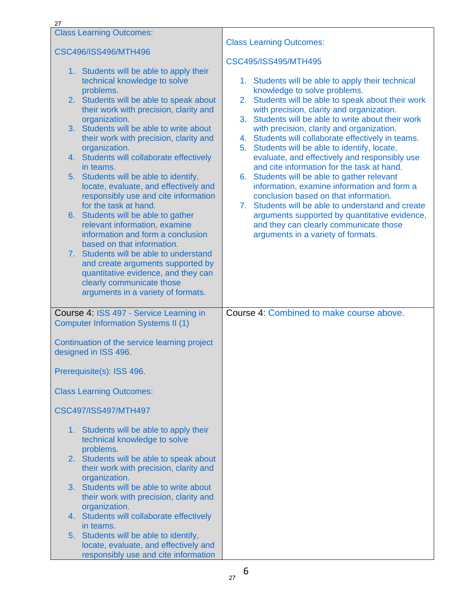| 27 |                                                                                       |                                                                                                    |
|----|---------------------------------------------------------------------------------------|----------------------------------------------------------------------------------------------------|
|    | <b>Class Learning Outcomes:</b>                                                       | <b>Class Learning Outcomes:</b>                                                                    |
|    | CSC496/ISS496/MTH496                                                                  |                                                                                                    |
|    | 1. Students will be able to apply their                                               | CSC495/ISS495/MTH495                                                                               |
|    | technical knowledge to solve                                                          | 1. Students will be able to apply their technical                                                  |
|    | problems.<br>2. Students will be able to speak about                                  | knowledge to solve problems.<br>2. Students will be able to speak about their work                 |
|    | their work with precision, clarity and                                                | with precision, clarity and organization.                                                          |
|    | organization.<br>3. Students will be able to write about                              | 3. Students will be able to write about their work<br>with precision, clarity and organization.    |
|    | their work with precision, clarity and                                                | 4. Students will collaborate effectively in teams.                                                 |
|    | organization.<br>4. Students will collaborate effectively                             | 5. Students will be able to identify, locate,<br>evaluate, and effectively and responsibly use     |
|    | in teams.                                                                             | and cite information for the task at hand.                                                         |
|    | 5. Students will be able to identify,<br>locate, evaluate, and effectively and        | 6. Students will be able to gather relevant<br>information, examine information and form a         |
|    | responsibly use and cite information                                                  | conclusion based on that information.                                                              |
|    | for the task at hand.<br>6. Students will be able to gather                           | 7. Students will be able to understand and create<br>arguments supported by quantitative evidence, |
|    | relevant information, examine                                                         | and they can clearly communicate those                                                             |
|    | information and form a conclusion<br>based on that information.                       | arguments in a variety of formats.                                                                 |
|    | 7. Students will be able to understand                                                |                                                                                                    |
|    | and create arguments supported by<br>quantitative evidence, and they can              |                                                                                                    |
|    | clearly communicate those<br>arguments in a variety of formats.                       |                                                                                                    |
|    |                                                                                       |                                                                                                    |
|    | Course 4: ISS 497 - Service Learning in<br><b>Computer Information Systems II (1)</b> | Course 4: Combined to make course above.                                                           |
|    | Continuation of the service learning project<br>designed in ISS 496.                  |                                                                                                    |
|    | Prerequisite(s): ISS 496.                                                             |                                                                                                    |
|    | <b>Class Learning Outcomes:</b>                                                       |                                                                                                    |
|    | CSC497/ISS497/MTH497                                                                  |                                                                                                    |
|    | 1. Students will be able to apply their<br>technical knowledge to solve               |                                                                                                    |
|    | problems.<br>2. Students will be able to speak about                                  |                                                                                                    |
|    | their work with precision, clarity and                                                |                                                                                                    |
|    | organization.<br>3. Students will be able to write about                              |                                                                                                    |
|    | their work with precision, clarity and<br>organization.                               |                                                                                                    |
|    | 4. Students will collaborate effectively                                              |                                                                                                    |
|    | in teams.<br>5. Students will be able to identify,                                    |                                                                                                    |
|    | locate, evaluate, and effectively and                                                 |                                                                                                    |
|    | responsibly use and cite information                                                  |                                                                                                    |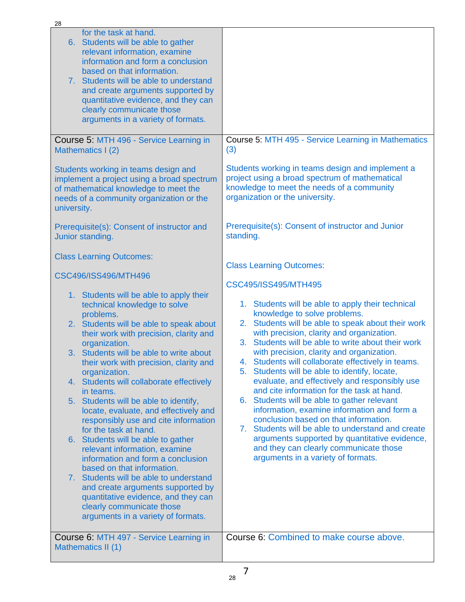| 28                                                                                                                                                                                                                                                                                                                                                                                                                                                                                                                                                                                                                                                                                                                                                                                                                                              |                                                                                                                                                                                                                                                                                                                                                                                                                                                                                                                                                                                                                                                                                                                                                                                                                                  |
|-------------------------------------------------------------------------------------------------------------------------------------------------------------------------------------------------------------------------------------------------------------------------------------------------------------------------------------------------------------------------------------------------------------------------------------------------------------------------------------------------------------------------------------------------------------------------------------------------------------------------------------------------------------------------------------------------------------------------------------------------------------------------------------------------------------------------------------------------|----------------------------------------------------------------------------------------------------------------------------------------------------------------------------------------------------------------------------------------------------------------------------------------------------------------------------------------------------------------------------------------------------------------------------------------------------------------------------------------------------------------------------------------------------------------------------------------------------------------------------------------------------------------------------------------------------------------------------------------------------------------------------------------------------------------------------------|
| for the task at hand.<br>6. Students will be able to gather<br>relevant information, examine<br>information and form a conclusion<br>based on that information.<br>7. Students will be able to understand<br>and create arguments supported by<br>quantitative evidence, and they can<br>clearly communicate those<br>arguments in a variety of formats.                                                                                                                                                                                                                                                                                                                                                                                                                                                                                        |                                                                                                                                                                                                                                                                                                                                                                                                                                                                                                                                                                                                                                                                                                                                                                                                                                  |
| Course 5: MTH 496 - Service Learning in<br>Mathematics I (2)                                                                                                                                                                                                                                                                                                                                                                                                                                                                                                                                                                                                                                                                                                                                                                                    | Course 5: MTH 495 - Service Learning in Mathematics<br>(3)                                                                                                                                                                                                                                                                                                                                                                                                                                                                                                                                                                                                                                                                                                                                                                       |
| Students working in teams design and<br>implement a project using a broad spectrum<br>of mathematical knowledge to meet the<br>needs of a community organization or the<br>university.                                                                                                                                                                                                                                                                                                                                                                                                                                                                                                                                                                                                                                                          | Students working in teams design and implement a<br>project using a broad spectrum of mathematical<br>knowledge to meet the needs of a community<br>organization or the university.<br>Prerequisite(s): Consent of instructor and Junior                                                                                                                                                                                                                                                                                                                                                                                                                                                                                                                                                                                         |
| Prerequisite(s): Consent of instructor and<br>Junior standing.                                                                                                                                                                                                                                                                                                                                                                                                                                                                                                                                                                                                                                                                                                                                                                                  | standing.                                                                                                                                                                                                                                                                                                                                                                                                                                                                                                                                                                                                                                                                                                                                                                                                                        |
| <b>Class Learning Outcomes:</b>                                                                                                                                                                                                                                                                                                                                                                                                                                                                                                                                                                                                                                                                                                                                                                                                                 |                                                                                                                                                                                                                                                                                                                                                                                                                                                                                                                                                                                                                                                                                                                                                                                                                                  |
| CSC496/ISS496/MTH496                                                                                                                                                                                                                                                                                                                                                                                                                                                                                                                                                                                                                                                                                                                                                                                                                            | <b>Class Learning Outcomes:</b><br>CSC495/ISS495/MTH495                                                                                                                                                                                                                                                                                                                                                                                                                                                                                                                                                                                                                                                                                                                                                                          |
| 1. Students will be able to apply their<br>technical knowledge to solve<br>problems.<br>2. Students will be able to speak about<br>their work with precision, clarity and<br>organization.<br>3. Students will be able to write about<br>their work with precision, clarity and<br>organization.<br>4. Students will collaborate effectively<br>in teams.<br>5. Students will be able to identify,<br>locate, evaluate, and effectively and<br>responsibly use and cite information<br>for the task at hand.<br>6. Students will be able to gather<br>relevant information, examine<br>information and form a conclusion<br>based on that information.<br>7. Students will be able to understand<br>and create arguments supported by<br>quantitative evidence, and they can<br>clearly communicate those<br>arguments in a variety of formats. | 1. Students will be able to apply their technical<br>knowledge to solve problems.<br>Students will be able to speak about their work<br>2.<br>with precision, clarity and organization.<br>3. Students will be able to write about their work<br>with precision, clarity and organization.<br>4. Students will collaborate effectively in teams.<br>Students will be able to identify, locate,<br>5.<br>evaluate, and effectively and responsibly use<br>and cite information for the task at hand.<br>6. Students will be able to gather relevant<br>information, examine information and form a<br>conclusion based on that information.<br>7. Students will be able to understand and create<br>arguments supported by quantitative evidence,<br>and they can clearly communicate those<br>arguments in a variety of formats. |
| Course 6: MTH 497 - Service Learning in<br>Mathematics II (1)                                                                                                                                                                                                                                                                                                                                                                                                                                                                                                                                                                                                                                                                                                                                                                                   | Course 6: Combined to make course above.                                                                                                                                                                                                                                                                                                                                                                                                                                                                                                                                                                                                                                                                                                                                                                                         |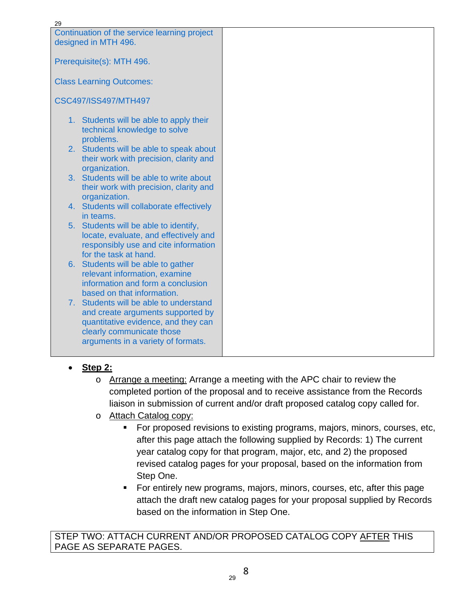| 29                                                            |  |
|---------------------------------------------------------------|--|
| Continuation of the service learning project                  |  |
| designed in MTH 496.                                          |  |
|                                                               |  |
| Prerequisite(s): MTH 496.                                     |  |
|                                                               |  |
| <b>Class Learning Outcomes:</b>                               |  |
|                                                               |  |
| <b>CSC497/ISS497/MTH497</b>                                   |  |
| 1. Students will be able to apply their                       |  |
| technical knowledge to solve                                  |  |
| problems.                                                     |  |
| 2. Students will be able to speak about                       |  |
| their work with precision, clarity and                        |  |
| organization.                                                 |  |
| 3. Students will be able to write about                       |  |
| their work with precision, clarity and                        |  |
| organization.                                                 |  |
| 4. Students will collaborate effectively                      |  |
| in teams.                                                     |  |
| 5. Students will be able to identify,                         |  |
| locate, evaluate, and effectively and                         |  |
| responsibly use and cite information<br>for the task at hand. |  |
| 6. Students will be able to gather                            |  |
| relevant information, examine                                 |  |
| information and form a conclusion                             |  |
| based on that information.                                    |  |
| 7. Students will be able to understand                        |  |
| and create arguments supported by                             |  |
| quantitative evidence, and they can                           |  |
| clearly communicate those                                     |  |
| arguments in a variety of formats.                            |  |
|                                                               |  |

- **Step 2:**
	- o Arrange a meeting: Arrange a meeting with the APC chair to review the completed portion of the proposal and to receive assistance from the Records liaison in submission of current and/or draft proposed catalog copy called for.
	- o Attach Catalog copy:
		- For proposed revisions to existing programs, majors, minors, courses, etc, after this page attach the following supplied by Records: 1) The current year catalog copy for that program, major, etc, and 2) the proposed revised catalog pages for your proposal, based on the information from Step One.
		- For entirely new programs, majors, minors, courses, etc, after this page attach the draft new catalog pages for your proposal supplied by Records based on the information in Step One.

STEP TWO: ATTACH CURRENT AND/OR PROPOSED CATALOG COPY AFTER THIS PAGE AS SEPARATE PAGES.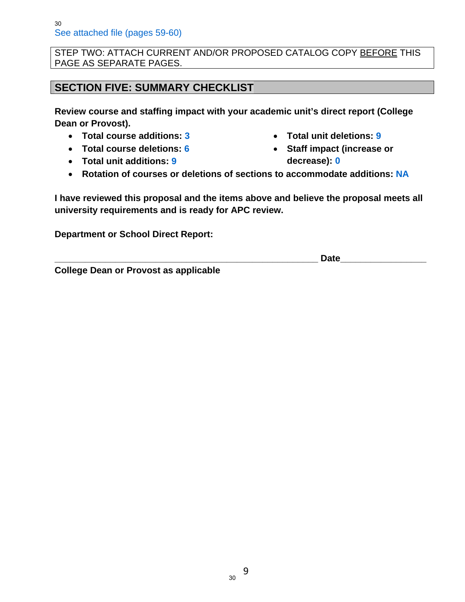STEP TWO: ATTACH CURRENT AND/OR PROPOSED CATALOG COPY BEFORE THIS PAGE AS SEPARATE PAGES.

## **SECTION FIVE: SUMMARY CHECKLIST**

**Review course and staffing impact with your academic unit's direct report (College Dean or Provost).** 

- **Total course additions: 3**
- **Total course deletions: 6**
- **Total unit additions: 9**
- **Total unit deletions: 9**
- **Staff impact (increase or decrease): 0**
- **Rotation of courses or deletions of sections to accommodate additions: NA**

**I have reviewed this proposal and the items above and believe the proposal meets all university requirements and is ready for APC review.** 

**Department or School Direct Report:** 

**\_\_\_\_\_\_\_\_\_\_\_\_\_\_\_\_\_\_\_\_\_\_\_\_\_\_\_\_\_\_\_\_\_\_\_\_\_\_\_\_\_\_\_\_\_\_\_\_\_\_\_\_ Date\_\_\_\_\_\_\_\_\_\_\_\_\_\_\_\_\_** 

**College Dean or Provost as applicable**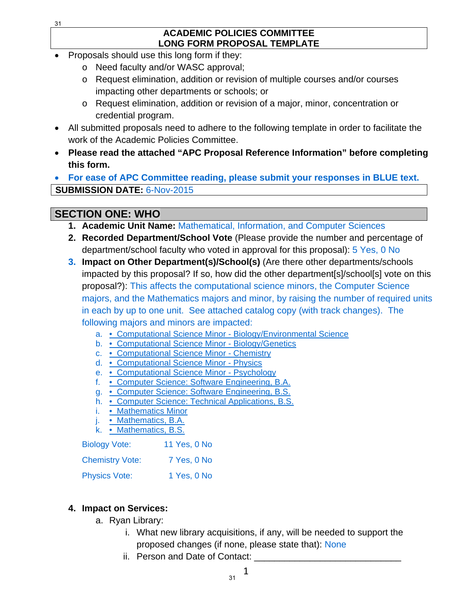#### **ACADEMIC POLICIES COMMITTEE LONG FORM PROPOSAL TEMPLATE**

- Proposals should use this long form if they:
	- o Need faculty and/or WASC approval;
	- o Request elimination, addition or revision of multiple courses and/or courses impacting other departments or schools; or
	- o Request elimination, addition or revision of a major, minor, concentration or credential program.
- All submitted proposals need to adhere to the following template in order to facilitate the work of the Academic Policies Committee.
- **Please read the attached "APC Proposal Reference Information" before completing this form.**

 **For ease of APC Committee reading, please submit your responses in BLUE text. SUBMISSION DATE:** 6-Nov-2015

## **SECTION ONE: WHO**

- **1. Academic Unit Name:** Mathematical, Information, and Computer Sciences
- **2. Recorded Department/School Vote** (Please provide the number and percentage of department/school faculty who voted in approval for this proposal): 5 Yes, 0 No
- **3. Impact on Other Department(s)/School(s)** (Are there other departments/schools impacted by this proposal? If so, how did the other department[s]/school[s] vote on this proposal?): This affects the computational science minors, the Computer Science majors, and the Mathematics majors and minor, by raising the number of required units in each by up to one unit. See attached catalog copy (with track changes). The following majors and minors are impacted:
	- a. Computational Science Minor Biology/Environmental Science
	- b. Computational Science Minor Biology/Genetics
	- c. Computational Science Minor Chemistry
	- d. Computational Science Minor Physics
	- e. Computational Science Minor Psychology
	- f. Computer Science: Software Engineering, B.A.
	- g. Computer Science: Software Engineering, B.S.
	- h. Computer Science: Technical Applications, B.S.
	- i. Mathematics Minor
	- j. Mathematics, B.A.
	- k. Mathematics, B.S.

| <b>Biology Vote:</b>   | 11 Yes, 0 No |
|------------------------|--------------|
| <b>Chemistry Vote:</b> | 7 Yes, 0 No  |
| <b>Physics Vote:</b>   | 1 Yes, 0 No  |

## **4. Impact on Services:**

- a. Ryan Library:
	- i. What new library acquisitions, if any, will be needed to support the proposed changes (if none, please state that): None
	- ii. Person and Date of Contact: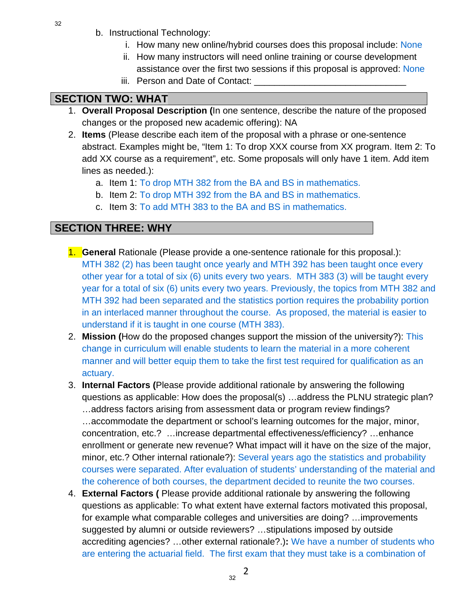- b. Instructional Technology:
	- i. How many new online/hybrid courses does this proposal include: None
	- ii. How many instructors will need online training or course development assistance over the first two sessions if this proposal is approved: None
	- iii. Person and Date of Contact:

# **SECTION TWO: WHAT**

- 1. **Overall Proposal Description (**In one sentence, describe the nature of the proposed changes or the proposed new academic offering): NA
- 2. **Items** (Please describe each item of the proposal with a phrase or one-sentence abstract. Examples might be, "Item 1: To drop XXX course from XX program. Item 2: To add XX course as a requirement", etc. Some proposals will only have 1 item. Add item lines as needed.):
	- a. Item 1: To drop MTH 382 from the BA and BS in mathematics.
	- b. Item 2: To drop MTH 392 from the BA and BS in mathematics.
	- c. Item 3: To add MTH 383 to the BA and BS in mathematics.

## **SECTION THREE: WHY**

- 1. **General** Rationale (Please provide a one-sentence rationale for this proposal.): MTH 382 (2) has been taught once yearly and MTH 392 has been taught once every other year for a total of six (6) units every two years. MTH 383 (3) will be taught every year for a total of six (6) units every two years. Previously, the topics from MTH 382 and MTH 392 had been separated and the statistics portion requires the probability portion in an interlaced manner throughout the course. As proposed, the material is easier to understand if it is taught in one course (MTH 383).
- 2. **Mission (**How do the proposed changes support the mission of the university?): This change in curriculum will enable students to learn the material in a more coherent manner and will better equip them to take the first test required for qualification as an actuary.
- 3. **Internal Factors (**Please provide additional rationale by answering the following questions as applicable: How does the proposal(s) …address the PLNU strategic plan? …address factors arising from assessment data or program review findings? …accommodate the department or school's learning outcomes for the major, minor, concentration, etc.? …increase departmental effectiveness/efficiency? …enhance enrollment or generate new revenue? What impact will it have on the size of the major, minor, etc.? Other internal rationale?): Several years ago the statistics and probability courses were separated. After evaluation of students' understanding of the material and the coherence of both courses, the department decided to reunite the two courses.
- 4. **External Factors (** Please provide additional rationale by answering the following questions as applicable: To what extent have external factors motivated this proposal, for example what comparable colleges and universities are doing? …improvements suggested by alumni or outside reviewers? …stipulations imposed by outside accrediting agencies? …other external rationale?.)**:** We have a number of students who are entering the actuarial field. The first exam that they must take is a combination of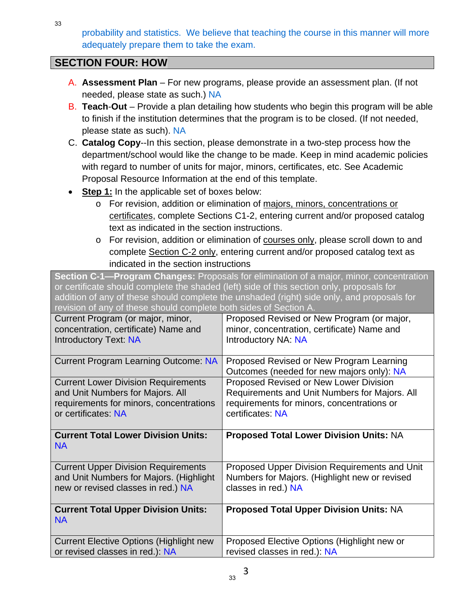probability and statistics. We believe that teaching the course in this manner will more adequately prepare them to take the exam.

## **SECTION FOUR: HOW**

- A. **Assessment Plan** For new programs, please provide an assessment plan. (If not needed, please state as such.) NA
- B. **Teach**-**Out**  Provide a plan detailing how students who begin this program will be able to finish if the institution determines that the program is to be closed. (If not needed, please state as such). NA
- C. **Catalog Copy**--In this section, please demonstrate in a two-step process how the department/school would like the change to be made. Keep in mind academic policies with regard to number of units for major, minors, certificates, etc. See Academic Proposal Resource Information at the end of this template.
- **Step 1:** In the applicable set of boxes below:
	- o For revision, addition or elimination of majors, minors, concentrations or certificates, complete Sections C1-2, entering current and/or proposed catalog text as indicated in the section instructions.
	- o For revision, addition or elimination of courses only, please scroll down to and complete Section C-2 only, entering current and/or proposed catalog text as indicated in the section instructions

**Section C-1—Program Changes:** Proposals for elimination of a major, minor, concentration or certificate should complete the shaded (left) side of this section only, proposals for addition of any of these should complete the unshaded (right) side only, and proposals for revision of any of these should complete both sides of Section A. Current Program (or major, minor, concentration, certificate) Name and Introductory Text: NA Proposed Revised or New Program (or major, minor, concentration, certificate) Name and Introductory NA: NA Current Program Learning Outcome: NA | Proposed Revised or New Program Learning Outcomes (needed for new majors only): NA Current Lower Division Requirements and Unit Numbers for Majors. All requirements for minors, concentrations or certificates: NA Proposed Revised or New Lower Division Requirements and Unit Numbers for Majors. All requirements for minors, concentrations or certificates: NA **Current Total Lower Division Units:** NA **Proposed Total Lower Division Units:** NA Current Upper Division Requirements and Unit Numbers for Majors. (Highlight new or revised classes in red.) NA Proposed Upper Division Requirements and Unit Numbers for Majors. (Highlight new or revised classes in red.) NA **Current Total Upper Division Units:** NA **Proposed Total Upper Division Units:** NA Current Elective Options (Highlight new or revised classes in red.): NA Proposed Elective Options (Highlight new or revised classes in red.): NA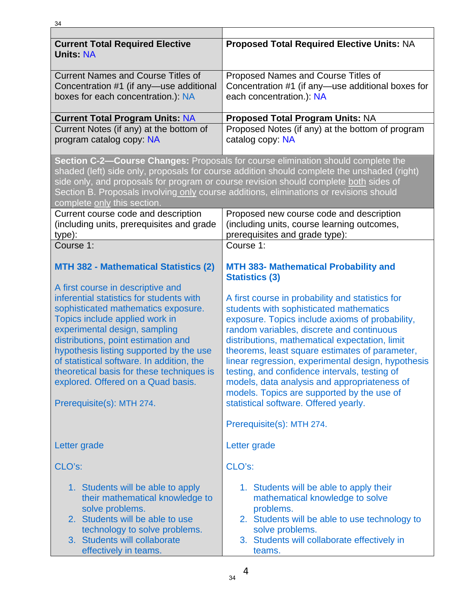| <b>Current Total Required Elective</b><br><b>Units: NA</b>                                                                                                                                                                                                                                                                                                                                        | <b>Proposed Total Required Elective Units: NA</b>                                                                                                                                                                                                                                                                                                                                                                                                                                                                                             |  |
|---------------------------------------------------------------------------------------------------------------------------------------------------------------------------------------------------------------------------------------------------------------------------------------------------------------------------------------------------------------------------------------------------|-----------------------------------------------------------------------------------------------------------------------------------------------------------------------------------------------------------------------------------------------------------------------------------------------------------------------------------------------------------------------------------------------------------------------------------------------------------------------------------------------------------------------------------------------|--|
| <b>Current Names and Course Titles of</b><br>Concentration #1 (if any-use additional<br>boxes for each concentration.): NA                                                                                                                                                                                                                                                                        | Proposed Names and Course Titles of<br>Concentration #1 (if any-use additional boxes for<br>each concentration.): NA                                                                                                                                                                                                                                                                                                                                                                                                                          |  |
| <b>Current Total Program Units: NA</b>                                                                                                                                                                                                                                                                                                                                                            | <b>Proposed Total Program Units: NA</b>                                                                                                                                                                                                                                                                                                                                                                                                                                                                                                       |  |
| Current Notes (if any) at the bottom of<br>program catalog copy: NA                                                                                                                                                                                                                                                                                                                               | Proposed Notes (if any) at the bottom of program<br>catalog copy: NA                                                                                                                                                                                                                                                                                                                                                                                                                                                                          |  |
| complete only this section.                                                                                                                                                                                                                                                                                                                                                                       | Section C-2-Course Changes: Proposals for course elimination should complete the<br>shaded (left) side only, proposals for course addition should complete the unshaded (right)<br>side only, and proposals for program or course revision should complete both sides of<br>Section B. Proposals involving only course additions, eliminations or revisions should                                                                                                                                                                            |  |
| Current course code and description<br>(including units, prerequisites and grade<br>type):                                                                                                                                                                                                                                                                                                        | Proposed new course code and description<br>(including units, course learning outcomes,<br>prerequisites and grade type):                                                                                                                                                                                                                                                                                                                                                                                                                     |  |
| Course 1:                                                                                                                                                                                                                                                                                                                                                                                         | Course 1:                                                                                                                                                                                                                                                                                                                                                                                                                                                                                                                                     |  |
| <b>MTH 382 - Mathematical Statistics (2)</b><br>A first course in descriptive and                                                                                                                                                                                                                                                                                                                 | <b>MTH 383- Mathematical Probability and</b><br><b>Statistics (3)</b>                                                                                                                                                                                                                                                                                                                                                                                                                                                                         |  |
| inferential statistics for students with<br>sophisticated mathematics exposure.<br>Topics include applied work in<br>experimental design, sampling<br>distributions, point estimation and<br>hypothesis listing supported by the use<br>of statistical software. In addition, the<br>theoretical basis for these techniques is<br>explored. Offered on a Quad basis.<br>Prerequisite(s): MTH 274. | A first course in probability and statistics for<br>students with sophisticated mathematics<br>exposure. Topics include axioms of probability,<br>random variables, discrete and continuous<br>distributions, mathematical expectation, limit<br>theorems, least square estimates of parameter,<br>linear regression, experimental design, hypothesis<br>testing, and confidence intervals, testing of<br>models, data analysis and appropriateness of<br>models. Topics are supported by the use of<br>statistical software. Offered yearly. |  |
|                                                                                                                                                                                                                                                                                                                                                                                                   | Prerequisite(s): MTH 274.                                                                                                                                                                                                                                                                                                                                                                                                                                                                                                                     |  |
| Letter grade                                                                                                                                                                                                                                                                                                                                                                                      | Letter grade                                                                                                                                                                                                                                                                                                                                                                                                                                                                                                                                  |  |
| CLO's:                                                                                                                                                                                                                                                                                                                                                                                            | CLO's:                                                                                                                                                                                                                                                                                                                                                                                                                                                                                                                                        |  |
| 1. Students will be able to apply<br>their mathematical knowledge to<br>solve problems.<br>2. Students will be able to use<br>technology to solve problems.<br>3. Students will collaborate<br>effectively in teams.                                                                                                                                                                              | 1. Students will be able to apply their<br>mathematical knowledge to solve<br>problems.<br>2. Students will be able to use technology to<br>solve problems.<br>3. Students will collaborate effectively in<br>teams.                                                                                                                                                                                                                                                                                                                          |  |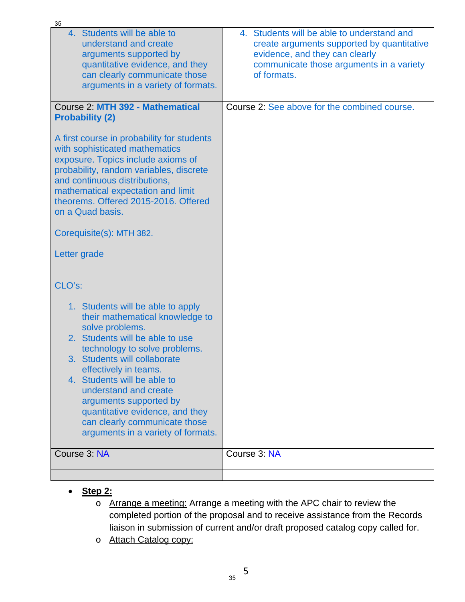| 35                                                                                                                                                                                                                                                                                                                                                                                                               |                                                                                                                                                                                       |
|------------------------------------------------------------------------------------------------------------------------------------------------------------------------------------------------------------------------------------------------------------------------------------------------------------------------------------------------------------------------------------------------------------------|---------------------------------------------------------------------------------------------------------------------------------------------------------------------------------------|
| 4. Students will be able to<br>understand and create<br>arguments supported by<br>quantitative evidence, and they<br>can clearly communicate those<br>arguments in a variety of formats.                                                                                                                                                                                                                         | 4. Students will be able to understand and<br>create arguments supported by quantitative<br>evidence, and they can clearly<br>communicate those arguments in a variety<br>of formats. |
| Course 2: MTH 392 - Mathematical<br><b>Probability (2)</b>                                                                                                                                                                                                                                                                                                                                                       | Course 2: See above for the combined course.                                                                                                                                          |
| A first course in probability for students<br>with sophisticated mathematics<br>exposure. Topics include axioms of<br>probability, random variables, discrete<br>and continuous distributions,<br>mathematical expectation and limit<br>theorems. Offered 2015-2016. Offered<br>on a Quad basis.                                                                                                                 |                                                                                                                                                                                       |
| Corequisite(s): MTH 382.                                                                                                                                                                                                                                                                                                                                                                                         |                                                                                                                                                                                       |
| Letter grade                                                                                                                                                                                                                                                                                                                                                                                                     |                                                                                                                                                                                       |
| CLO's:                                                                                                                                                                                                                                                                                                                                                                                                           |                                                                                                                                                                                       |
| 1. Students will be able to apply<br>their mathematical knowledge to<br>solve problems.<br>2. Students will be able to use<br>technology to solve problems.<br>3. Students will collaborate<br>effectively in teams.<br>4. Students will be able to<br>understand and create<br>arguments supported by<br>quantitative evidence, and they<br>can clearly communicate those<br>arguments in a variety of formats. |                                                                                                                                                                                       |
| Course 3: NA                                                                                                                                                                                                                                                                                                                                                                                                     | Course 3: NA                                                                                                                                                                          |
|                                                                                                                                                                                                                                                                                                                                                                                                                  |                                                                                                                                                                                       |

- **Step 2:**
	- o Arrange a meeting: Arrange a meeting with the APC chair to review the completed portion of the proposal and to receive assistance from the Records liaison in submission of current and/or draft proposed catalog copy called for.
	- o Attach Catalog copy: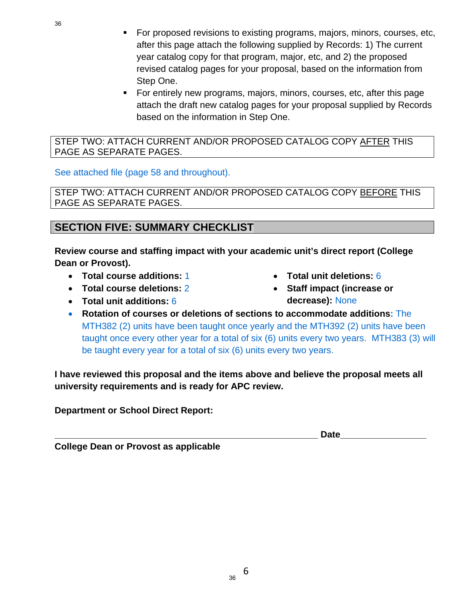- For proposed revisions to existing programs, majors, minors, courses, etc, after this page attach the following supplied by Records: 1) The current year catalog copy for that program, major, etc, and 2) the proposed revised catalog pages for your proposal, based on the information from Step One.
- For entirely new programs, majors, minors, courses, etc, after this page attach the draft new catalog pages for your proposal supplied by Records based on the information in Step One.

#### STEP TWO: ATTACH CURRENT AND/OR PROPOSED CATALOG COPY AFTER THIS PAGE AS SEPARATE PAGES.

#### See attached file (page 58 and throughout).

STEP TWO: ATTACH CURRENT AND/OR PROPOSED CATALOG COPY BEFORE THIS PAGE AS SEPARATE PAGES.

## **SECTION FIVE: SUMMARY CHECKLIST**

**Review course and staffing impact with your academic unit's direct report (College Dean or Provost).** 

- **Total course additions:** 1
- **Total course deletions:** 2
- **Total unit additions:** 6
- **Total unit deletions:** 6
- **Staff impact (increase or decrease):** None
- **Rotation of courses or deletions of sections to accommodate additions:** The MTH382 (2) units have been taught once yearly and the MTH392 (2) units have been taught once every other year for a total of six (6) units every two years. MTH383 (3) will be taught every year for a total of six (6) units every two years.

**I have reviewed this proposal and the items above and believe the proposal meets all university requirements and is ready for APC review.** 

**Department or School Direct Report:** 

**\_\_\_\_\_\_\_\_\_\_\_\_\_\_\_\_\_\_\_\_\_\_\_\_\_\_\_\_\_\_\_\_\_\_\_\_\_\_\_\_\_\_\_\_\_\_\_\_\_\_\_\_ Date\_\_\_\_\_\_\_\_\_\_\_\_\_\_\_\_\_** 

**College Dean or Provost as applicable** 

36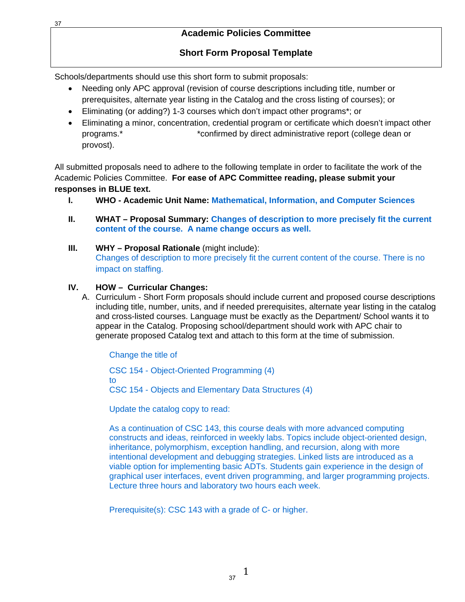#### **Academic Policies Committee**

### **Short Form Proposal Template**

Schools/departments should use this short form to submit proposals:

- Needing only APC approval (revision of course descriptions including title, number or prerequisites, alternate year listing in the Catalog and the cross listing of courses); or
- Eliminating (or adding?) 1-3 courses which don't impact other programs\*; or
- Eliminating a minor, concentration, credential program or certificate which doesn't impact other programs.\* \*confirmed by direct administrative report (college dean or provost).

All submitted proposals need to adhere to the following template in order to facilitate the work of the Academic Policies Committee. **For ease of APC Committee reading, please submit your responses in BLUE text.** 

- **I. WHO Academic Unit Name: Mathematical, Information, and Computer Sciences**
- **II. WHAT Proposal Summary: Changes of description to more precisely fit the current content of the course. A name change occurs as well.**
- **III. WHY Proposal Rationale** (might include): Changes of description to more precisely fit the current content of the course. There is no impact on staffing.

#### **IV. HOW – Curricular Changes:**

A. Curriculum - Short Form proposals should include current and proposed course descriptions including title, number, units, and if needed prerequisites, alternate year listing in the catalog and cross-listed courses. Language must be exactly as the Department/ School wants it to appear in the Catalog. Proposing school/department should work with APC chair to generate proposed Catalog text and attach to this form at the time of submission.

Change the title of

CSC 154 - Object-Oriented Programming (4) to CSC 154 - Objects and Elementary Data Structures (4)

Update the catalog copy to read:

As a continuation of CSC 143, this course deals with more advanced computing constructs and ideas, reinforced in weekly labs. Topics include object-oriented design, inheritance, polymorphism, exception handling, and recursion, along with more intentional development and debugging strategies. Linked lists are introduced as a viable option for implementing basic ADTs. Students gain experience in the design of graphical user interfaces, event driven programming, and larger programming projects. Lecture three hours and laboratory two hours each week.

Prerequisite(s): CSC 143 with a grade of C- or higher.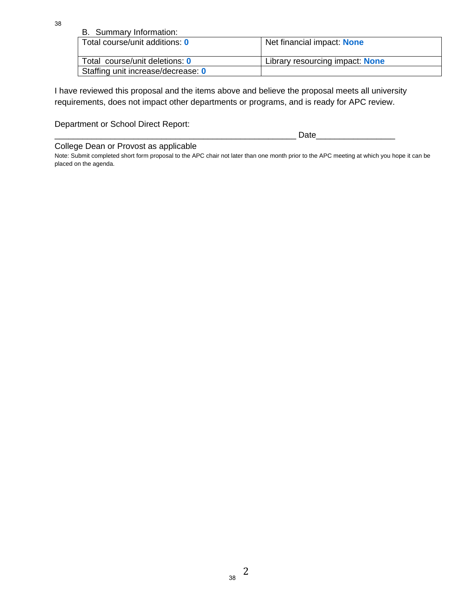| B. Summary Information:            |                                 |
|------------------------------------|---------------------------------|
| Total course/unit additions: 0     | Net financial impact: None      |
|                                    |                                 |
| Total course/unit deletions: 0     | Library resourcing impact: None |
| Staffing unit increase/decrease: 0 |                                 |

I have reviewed this proposal and the items above and believe the proposal meets all university requirements, does not impact other departments or programs, and is ready for APC review.

Department or School Direct Report:

|     | ----<br>--               |  |
|-----|--------------------------|--|
| ___ | $\overline{\phantom{a}}$ |  |

College Dean or Provost as applicable

Note: Submit completed short form proposal to the APC chair not later than one month prior to the APC meeting at which you hope it can be placed on the agenda.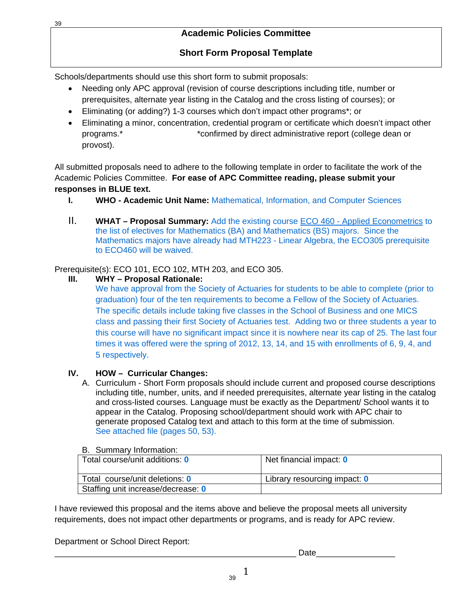## **Short Form Proposal Template**

Schools/departments should use this short form to submit proposals:

- Needing only APC approval (revision of course descriptions including title, number or prerequisites, alternate year listing in the Catalog and the cross listing of courses); or
- Eliminating (or adding?) 1-3 courses which don't impact other programs\*; or
- Eliminating a minor, concentration, credential program or certificate which doesn't impact other programs.\* \*confirmed by direct administrative report (college dean or provost).

All submitted proposals need to adhere to the following template in order to facilitate the work of the Academic Policies Committee. **For ease of APC Committee reading, please submit your responses in BLUE text.** 

- **I. WHO Academic Unit Name: Mathematical, Information, and Computer Sciences**
- II. **WHAT Proposal Summary:** Add the existing course ECO 460 Applied Econometrics to the list of electives for Mathematics (BA) and Mathematics (BS) majors. Since the Mathematics majors have already had MTH223 - Linear Algebra, the ECO305 prerequisite to ECO460 will be waived.

Prerequisite(s): ECO 101, ECO 102, MTH 203, and ECO 305.

**III. WHY – Proposal Rationale:** 

We have approval from the Society of Actuaries for students to be able to complete (prior to graduation) four of the ten requirements to become a Fellow of the Society of Actuaries. The specific details include taking five classes in the School of Business and one MICS class and passing their first Society of Actuaries test. Adding two or three students a year to this course will have no significant impact since it is nowhere near its cap of 25. The last four times it was offered were the spring of 2012, 13, 14, and 15 with enrollments of 6, 9, 4, and 5 respectively.

## **IV. HOW – Curricular Changes:**

A. Curriculum - Short Form proposals should include current and proposed course descriptions including title, number, units, and if needed prerequisites, alternate year listing in the catalog and cross-listed courses. Language must be exactly as the Department/ School wants it to appear in the Catalog. Proposing school/department should work with APC chair to generate proposed Catalog text and attach to this form at the time of submission. See attached file (pages 50, 53).

#### B. Summary Information:

| Total course/unit additions: 0     | Net financial impact: 0      |
|------------------------------------|------------------------------|
| Total course/unit deletions: 0     | Library resourcing impact: 0 |
| Staffing unit increase/decrease: 0 |                              |

I have reviewed this proposal and the items above and believe the proposal meets all university requirements, does not impact other departments or programs, and is ready for APC review.

Department or School Direct Report:

\_\_\_\_\_\_\_\_\_\_\_\_\_\_\_\_\_\_\_\_\_\_\_\_\_\_\_\_\_\_\_\_\_\_\_\_\_\_\_\_\_\_\_\_\_\_\_\_\_\_\_\_ Date\_\_\_\_\_\_\_\_\_\_\_\_\_\_\_\_\_